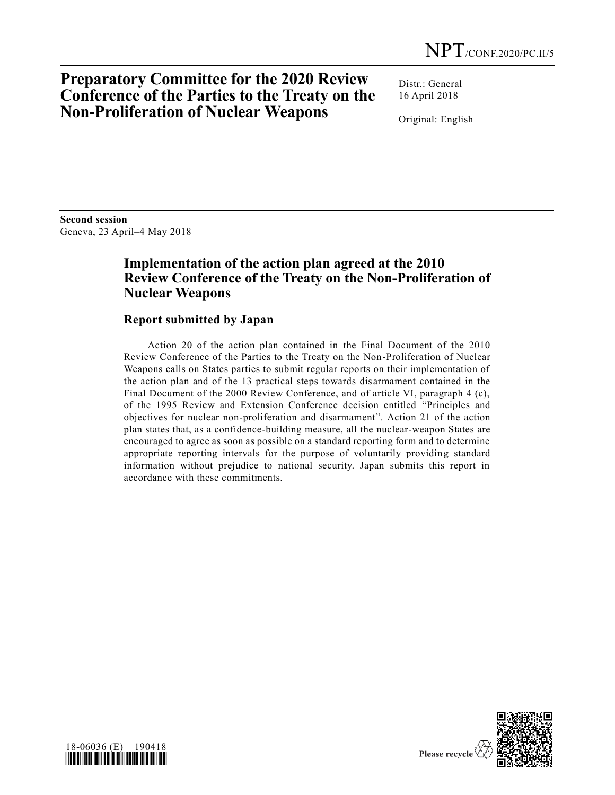# **Preparatory Committee for the 2020 Review Conference of the Parties to the Treaty on the Non-Proliferation of Nuclear Weapons**

Distr.: General 16 April 2018

Original: English

**Second session**  Geneva, 23 April–4 May 2018

## **Implementation of the action plan agreed at the 2010 Review Conference of the Treaty on the Non-Proliferation of Nuclear Weapons**

## **Report submitted by Japan**

Action 20 of the action plan contained in the Final Document of the 2010 Review Conference of the Parties to the Treaty on the Non-Proliferation of Nuclear Weapons calls on States parties to submit regular reports on their implementation of the action plan and of the 13 practical steps towards disarmament contained in the Final Document of the 2000 Review Conference, and of article VI, paragraph 4 (c), of the 1995 Review and Extension Conference decision entitled "Principles and objectives for nuclear non-proliferation and disarmament". Action 21 of the action plan states that, as a confidence-building measure, all the nuclear-weapon States are encouraged to agree as soon as possible on a standard reporting form and to determine appropriate reporting intervals for the purpose of voluntarily providing standard information without prejudice to national security. Japan submits this report in accordance with these commitments.



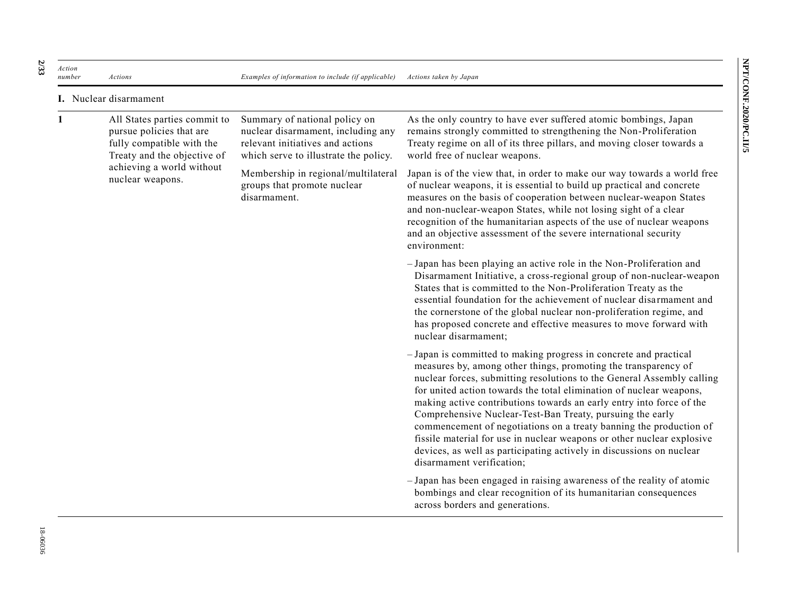*Action number Actions Examples of information to include (if applicable) Actions taken by Japan* **I.** Nuclear disarmament

| 1 | All States parties commit to<br>pursue policies that are<br>fully compatible with the<br>Treaty and the objective of<br>achieving a world without<br>nuclear weapons. | Summary of national policy on<br>nuclear disarmament, including any<br>relevant initiatives and actions<br>which serve to illustrate the policy. | As the only country to have ever suffered atomic bombings, Japan<br>remains strongly committed to strengthening the Non-Proliferation<br>Treaty regime on all of its three pillars, and moving closer towards a<br>world free of nuclear weapons.                                                                                                                                                                                                                                                                                                                                                                                                                              |
|---|-----------------------------------------------------------------------------------------------------------------------------------------------------------------------|--------------------------------------------------------------------------------------------------------------------------------------------------|--------------------------------------------------------------------------------------------------------------------------------------------------------------------------------------------------------------------------------------------------------------------------------------------------------------------------------------------------------------------------------------------------------------------------------------------------------------------------------------------------------------------------------------------------------------------------------------------------------------------------------------------------------------------------------|
|   |                                                                                                                                                                       | Membership in regional/multilateral<br>groups that promote nuclear<br>disarmament.                                                               | Japan is of the view that, in order to make our way towards a world free<br>of nuclear weapons, it is essential to build up practical and concrete<br>measures on the basis of cooperation between nuclear-weapon States<br>and non-nuclear-weapon States, while not losing sight of a clear<br>recognition of the humanitarian aspects of the use of nuclear weapons<br>and an objective assessment of the severe international security<br>environment:                                                                                                                                                                                                                      |
|   |                                                                                                                                                                       |                                                                                                                                                  | - Japan has been playing an active role in the Non-Proliferation and<br>Disarmament Initiative, a cross-regional group of non-nuclear-weapon<br>States that is committed to the Non-Proliferation Treaty as the<br>essential foundation for the achievement of nuclear disarmament and<br>the cornerstone of the global nuclear non-proliferation regime, and<br>has proposed concrete and effective measures to move forward with<br>nuclear disarmament;                                                                                                                                                                                                                     |
|   |                                                                                                                                                                       |                                                                                                                                                  | - Japan is committed to making progress in concrete and practical<br>measures by, among other things, promoting the transparency of<br>nuclear forces, submitting resolutions to the General Assembly calling<br>for united action towards the total elimination of nuclear weapons,<br>making active contributions towards an early entry into force of the<br>Comprehensive Nuclear-Test-Ban Treaty, pursuing the early<br>commencement of negotiations on a treaty banning the production of<br>fissile material for use in nuclear weapons or other nuclear explosive<br>devices, as well as participating actively in discussions on nuclear<br>disarmament verification; |
|   |                                                                                                                                                                       |                                                                                                                                                  | - Japan has been engaged in raising awareness of the reality of atomic<br>bombings and clear recognition of its humanitarian consequences<br>across borders and generations.                                                                                                                                                                                                                                                                                                                                                                                                                                                                                                   |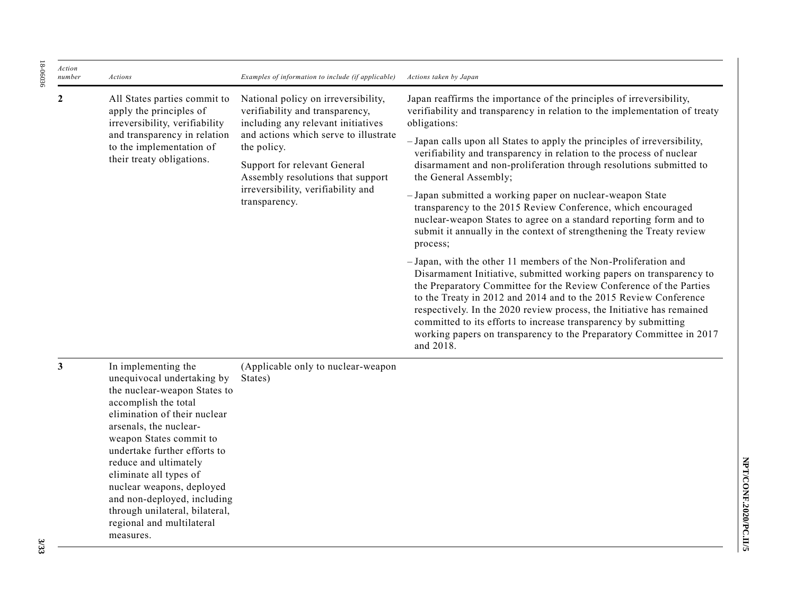| Action<br>number | Actions                                                                                                                                                                                                                        | Examples of information to include (if applicable)                                                                                                                                                                                                                                               | Actions taken by Japan                                                                                                                                                                                                                                                                                                                                                                                                                                                                                                                                                                                                                                                                                                                                                                                                                                                                                                                                                                                                                                                                                                                                                                                                            |
|------------------|--------------------------------------------------------------------------------------------------------------------------------------------------------------------------------------------------------------------------------|--------------------------------------------------------------------------------------------------------------------------------------------------------------------------------------------------------------------------------------------------------------------------------------------------|-----------------------------------------------------------------------------------------------------------------------------------------------------------------------------------------------------------------------------------------------------------------------------------------------------------------------------------------------------------------------------------------------------------------------------------------------------------------------------------------------------------------------------------------------------------------------------------------------------------------------------------------------------------------------------------------------------------------------------------------------------------------------------------------------------------------------------------------------------------------------------------------------------------------------------------------------------------------------------------------------------------------------------------------------------------------------------------------------------------------------------------------------------------------------------------------------------------------------------------|
| $\boldsymbol{2}$ | All States parties commit to<br>apply the principles of<br>irreversibility, verifiability<br>and transparency in relation<br>to the implementation of<br>their treaty obligations.                                             | National policy on irreversibility,<br>verifiability and transparency,<br>including any relevant initiatives<br>and actions which serve to illustrate<br>the policy.<br>Support for relevant General<br>Assembly resolutions that support<br>irreversibility, verifiability and<br>transparency. | Japan reaffirms the importance of the principles of irreversibility,<br>verifiability and transparency in relation to the implementation of treaty<br>obligations:<br>- Japan calls upon all States to apply the principles of irreversibility,<br>verifiability and transparency in relation to the process of nuclear<br>disarmament and non-proliferation through resolutions submitted to<br>the General Assembly;<br>- Japan submitted a working paper on nuclear-weapon State<br>transparency to the 2015 Review Conference, which encouraged<br>nuclear-weapon States to agree on a standard reporting form and to<br>submit it annually in the context of strengthening the Treaty review<br>process;<br>- Japan, with the other 11 members of the Non-Proliferation and<br>Disarmament Initiative, submitted working papers on transparency to<br>the Preparatory Committee for the Review Conference of the Parties<br>to the Treaty in 2012 and 2014 and to the 2015 Review Conference<br>respectively. In the 2020 review process, the Initiative has remained<br>committed to its efforts to increase transparency by submitting<br>working papers on transparency to the Preparatory Committee in 2017<br>and 2018. |
| 3                | In implementing the<br>unequivocal undertaking by<br>the nuclear-weapon States to<br>accomplish the total<br>elimination of their nuclear<br>arsenals, the nuclear-<br>weapon States commit to<br>undertake further efforts to | (Applicable only to nuclear-weapon<br>States)                                                                                                                                                                                                                                                    |                                                                                                                                                                                                                                                                                                                                                                                                                                                                                                                                                                                                                                                                                                                                                                                                                                                                                                                                                                                                                                                                                                                                                                                                                                   |

18-06036

18-06036

**3/33**

reduce and ultimately eliminate all types of nuclear weapons, deployed and non-deployed, including through unilateral, bilateral, regional and multilateral

measures.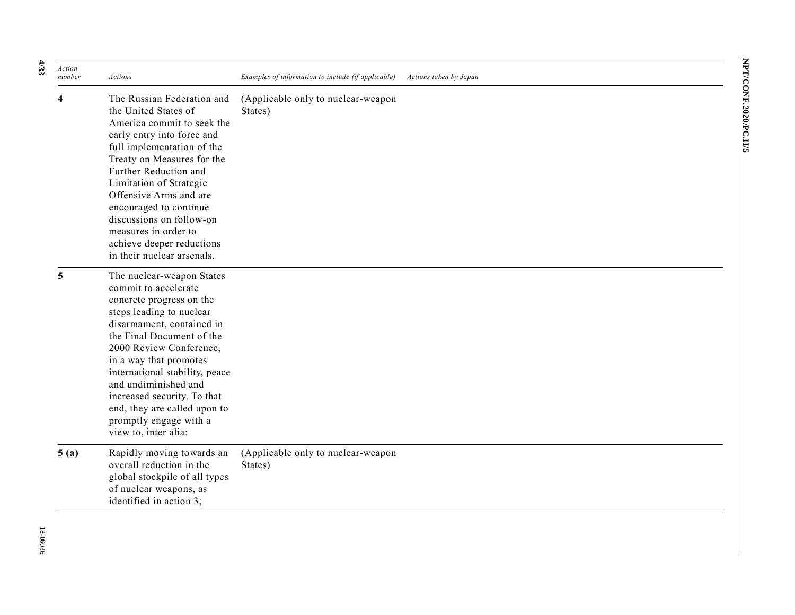| ĭ      |
|--------|
| r,     |
|        |
|        |
|        |
| Š      |
| 1<br>5 |
|        |
|        |
| ì      |
|        |
| I      |
| ٢      |

| Action<br>number | Actions                                                                                                                                                                                                                                                                                                                                                                                             | Examples of information to include (if applicable) | Actions taken by Japan |
|------------------|-----------------------------------------------------------------------------------------------------------------------------------------------------------------------------------------------------------------------------------------------------------------------------------------------------------------------------------------------------------------------------------------------------|----------------------------------------------------|------------------------|
|                  | The Russian Federation and<br>the United States of<br>America commit to seek the<br>early entry into force and<br>full implementation of the<br>Treaty on Measures for the<br>Further Reduction and<br>Limitation of Strategic<br>Offensive Arms and are<br>encouraged to continue<br>discussions on follow-on<br>measures in order to<br>achieve deeper reductions<br>in their nuclear arsenals.   | (Applicable only to nuclear-weapon<br>States)      |                        |
| 5                | The nuclear-weapon States<br>commit to accelerate<br>concrete progress on the<br>steps leading to nuclear<br>disarmament, contained in<br>the Final Document of the<br>2000 Review Conference,<br>in a way that promotes<br>international stability, peace<br>and undiminished and<br>increased security. To that<br>end, they are called upon to<br>promptly engage with a<br>view to, inter alia: |                                                    |                        |
| 5(a)             | Rapidly moving towards an<br>overall reduction in the<br>global stockpile of all types<br>of nuclear weapons, as<br>identified in action 3;                                                                                                                                                                                                                                                         | (Applicable only to nuclear-weapon<br>States)      |                        |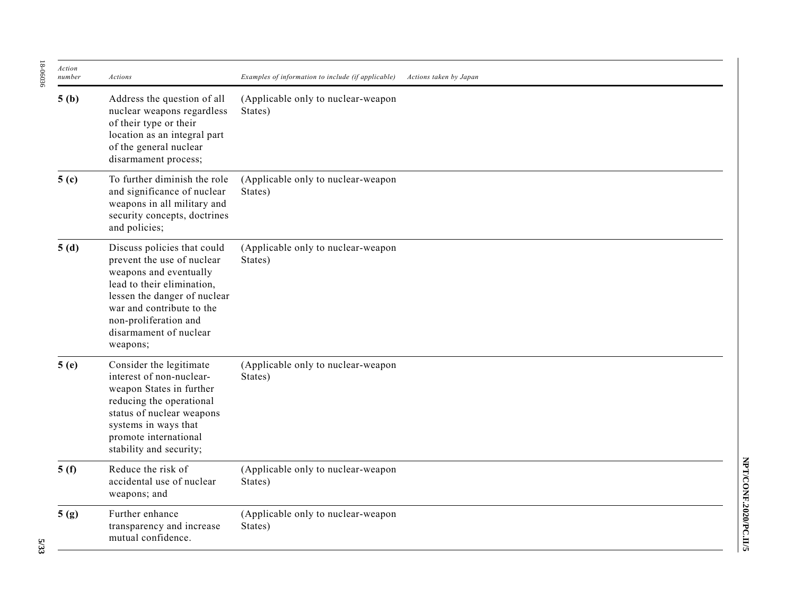| Action<br>number | Actions                                                                                                                                                                                                                                       | Examples of information to include (if applicable) | Actions taken by Japan |
|------------------|-----------------------------------------------------------------------------------------------------------------------------------------------------------------------------------------------------------------------------------------------|----------------------------------------------------|------------------------|
| 5(b)             | Address the question of all<br>nuclear weapons regardless<br>of their type or their<br>location as an integral part<br>of the general nuclear<br>disarmament process;                                                                         | (Applicable only to nuclear-weapon<br>States)      |                        |
| 5 <sub>(c)</sub> | To further diminish the role<br>and significance of nuclear<br>weapons in all military and<br>security concepts, doctrines<br>and policies;                                                                                                   | (Applicable only to nuclear-weapon<br>States)      |                        |
| 5(d)             | Discuss policies that could<br>prevent the use of nuclear<br>weapons and eventually<br>lead to their elimination,<br>lessen the danger of nuclear<br>war and contribute to the<br>non-proliferation and<br>disarmament of nuclear<br>weapons; | (Applicable only to nuclear-weapon<br>States)      |                        |
| 5(e)             | Consider the legitimate<br>interest of non-nuclear-<br>weapon States in further<br>reducing the operational<br>status of nuclear weapons<br>systems in ways that<br>promote international<br>stability and security;                          | (Applicable only to nuclear-weapon<br>States)      |                        |
| 5(f)             | Reduce the risk of<br>accidental use of nuclear<br>weapons; and                                                                                                                                                                               | (Applicable only to nuclear-weapon<br>States)      |                        |
| 5(g)             | Further enhance<br>transparency and increase<br>mutual confidence.                                                                                                                                                                            | (Applicable only to nuclear-weapon<br>States)      |                        |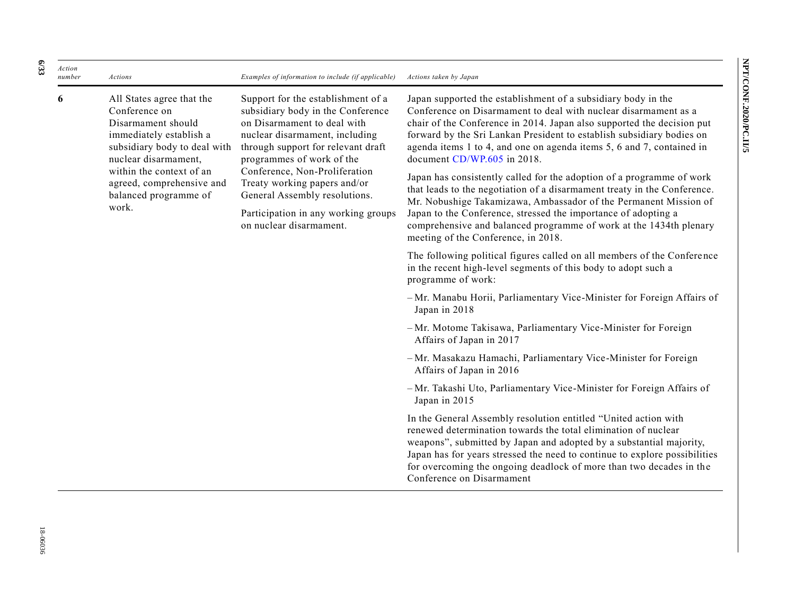| Action<br>number | <b>Actions</b>                                                                                                                                                                                                                                 | Examples of information to include (if applicable)                                                                                                                                                                                                                                                                                                                              | Actions taken by Japan                                                                                                                                                                                                                                                                                                                                                                                                                                               |
|------------------|------------------------------------------------------------------------------------------------------------------------------------------------------------------------------------------------------------------------------------------------|---------------------------------------------------------------------------------------------------------------------------------------------------------------------------------------------------------------------------------------------------------------------------------------------------------------------------------------------------------------------------------|----------------------------------------------------------------------------------------------------------------------------------------------------------------------------------------------------------------------------------------------------------------------------------------------------------------------------------------------------------------------------------------------------------------------------------------------------------------------|
| 6                | All States agree that the<br>Conference on<br>Disarmament should<br>immediately establish a<br>subsidiary body to deal with<br>nuclear disarmament,<br>within the context of an<br>agreed, comprehensive and<br>balanced programme of<br>work. | Support for the establishment of a<br>subsidiary body in the Conference<br>on Disarmament to deal with<br>nuclear disarmament, including<br>through support for relevant draft<br>programmes of work of the<br>Conference, Non-Proliferation<br>Treaty working papers and/or<br>General Assembly resolutions.<br>Participation in any working groups<br>on nuclear disarmament. | Japan supported the establishment of a subsidiary body in the<br>Conference on Disarmament to deal with nuclear disarmament as a<br>chair of the Conference in 2014. Japan also supported the decision put<br>forward by the Sri Lankan President to establish subsidiary bodies on<br>agenda items 1 to 4, and one on agenda items 5, 6 and 7, contained in<br>document CD/WP.605 in 2018.<br>Japan has consistently called for the adoption of a programme of work |
|                  |                                                                                                                                                                                                                                                |                                                                                                                                                                                                                                                                                                                                                                                 | that leads to the negotiation of a disarmament treaty in the Conference.<br>Mr. Nobushige Takamizawa, Ambassador of the Permanent Mission of<br>Japan to the Conference, stressed the importance of adopting a<br>comprehensive and balanced programme of work at the 1434th plenary<br>meeting of the Conference, in 2018.                                                                                                                                          |
|                  |                                                                                                                                                                                                                                                |                                                                                                                                                                                                                                                                                                                                                                                 | The following political figures called on all members of the Conference<br>in the recent high-level segments of this body to adopt such a<br>programme of work:                                                                                                                                                                                                                                                                                                      |
|                  |                                                                                                                                                                                                                                                |                                                                                                                                                                                                                                                                                                                                                                                 | -Mr. Manabu Horii, Parliamentary Vice-Minister for Foreign Affairs of<br>Japan in 2018                                                                                                                                                                                                                                                                                                                                                                               |
|                  |                                                                                                                                                                                                                                                |                                                                                                                                                                                                                                                                                                                                                                                 | -Mr. Motome Takisawa, Parliamentary Vice-Minister for Foreign<br>Affairs of Japan in 2017                                                                                                                                                                                                                                                                                                                                                                            |
|                  |                                                                                                                                                                                                                                                |                                                                                                                                                                                                                                                                                                                                                                                 | -Mr. Masakazu Hamachi, Parliamentary Vice-Minister for Foreign<br>Affairs of Japan in 2016                                                                                                                                                                                                                                                                                                                                                                           |
|                  |                                                                                                                                                                                                                                                |                                                                                                                                                                                                                                                                                                                                                                                 | -Mr. Takashi Uto, Parliamentary Vice-Minister for Foreign Affairs of<br>Japan in 2015                                                                                                                                                                                                                                                                                                                                                                                |
|                  |                                                                                                                                                                                                                                                |                                                                                                                                                                                                                                                                                                                                                                                 | In the General Assembly resolution entitled "United action with<br>renewed determination towards the total elimination of nuclear<br>weapons", submitted by Japan and adopted by a substantial majority,<br>Japan has for years stressed the need to continue to explore possibilities<br>for overcoming the ongoing deadlock of more than two decades in the<br>Conference on Disarmament                                                                           |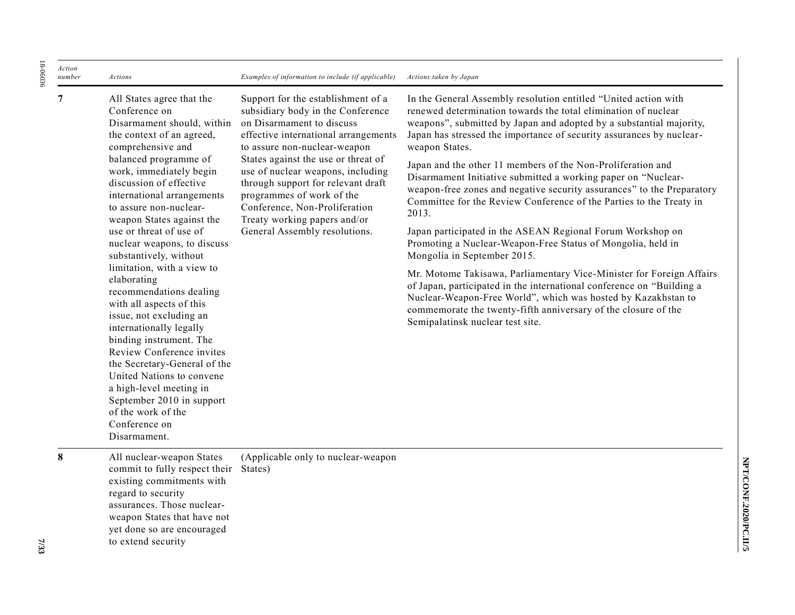| Action |                                                                                                                                                                                                                                                                                                                                                                                                                                                                                                                                                                                                                                                                                                                                                                                  |                                                                                                                                                                                                                                                                                                                                                                                                                               |                                                                                                                                                                                                                                                                                                                                                                                                                                                                                                                                                                                                                                                                                                                                                                                                                                                                                                                                                                                                                                                                                  |
|--------|----------------------------------------------------------------------------------------------------------------------------------------------------------------------------------------------------------------------------------------------------------------------------------------------------------------------------------------------------------------------------------------------------------------------------------------------------------------------------------------------------------------------------------------------------------------------------------------------------------------------------------------------------------------------------------------------------------------------------------------------------------------------------------|-------------------------------------------------------------------------------------------------------------------------------------------------------------------------------------------------------------------------------------------------------------------------------------------------------------------------------------------------------------------------------------------------------------------------------|----------------------------------------------------------------------------------------------------------------------------------------------------------------------------------------------------------------------------------------------------------------------------------------------------------------------------------------------------------------------------------------------------------------------------------------------------------------------------------------------------------------------------------------------------------------------------------------------------------------------------------------------------------------------------------------------------------------------------------------------------------------------------------------------------------------------------------------------------------------------------------------------------------------------------------------------------------------------------------------------------------------------------------------------------------------------------------|
| number | Actions                                                                                                                                                                                                                                                                                                                                                                                                                                                                                                                                                                                                                                                                                                                                                                          | Examples of information to include (if applicable)                                                                                                                                                                                                                                                                                                                                                                            | Actions taken by Japan                                                                                                                                                                                                                                                                                                                                                                                                                                                                                                                                                                                                                                                                                                                                                                                                                                                                                                                                                                                                                                                           |
| 7      | All States agree that the<br>Conference on<br>Disarmament should, within<br>the context of an agreed,<br>comprehensive and<br>balanced programme of<br>work, immediately begin<br>discussion of effective<br>international arrangements<br>to assure non-nuclear-<br>weapon States against the<br>use or threat of use of<br>nuclear weapons, to discuss<br>substantively, without<br>limitation, with a view to<br>elaborating<br>recommendations dealing<br>with all aspects of this<br>issue, not excluding an<br>internationally legally<br>binding instrument. The<br>Review Conference invites<br>the Secretary-General of the<br>United Nations to convene<br>a high-level meeting in<br>September 2010 in support<br>of the work of the<br>Conference on<br>Disarmament. | Support for the establishment of a<br>subsidiary body in the Conference<br>on Disarmament to discuss<br>effective international arrangements<br>to assure non-nuclear-weapon<br>States against the use or threat of<br>use of nuclear weapons, including<br>through support for relevant draft<br>programmes of work of the<br>Conference, Non-Proliferation<br>Treaty working papers and/or<br>General Assembly resolutions. | In the General Assembly resolution entitled "United action with<br>renewed determination towards the total elimination of nuclear<br>weapons", submitted by Japan and adopted by a substantial majority,<br>Japan has stressed the importance of security assurances by nuclear-<br>weapon States.<br>Japan and the other 11 members of the Non-Proliferation and<br>Disarmament Initiative submitted a working paper on "Nuclear-<br>weapon-free zones and negative security assurances" to the Preparatory<br>Committee for the Review Conference of the Parties to the Treaty in<br>2013.<br>Japan participated in the ASEAN Regional Forum Workshop on<br>Promoting a Nuclear-Weapon-Free Status of Mongolia, held in<br>Mongolia in September 2015.<br>Mr. Motome Takisawa, Parliamentary Vice-Minister for Foreign Affairs<br>of Japan, participated in the international conference on "Building a<br>Nuclear-Weapon-Free World", which was hosted by Kazakhstan to<br>commemorate the twenty-fifth anniversary of the closure of the<br>Semipalatinsk nuclear test site. |
| 8      | All nuclear-weapon States<br>commit to fully respect their<br>existing commitments with<br>regard to security<br>assurances. Those nuclear-<br>weapon States that have not<br>yet done so are encouraged<br>to extend security                                                                                                                                                                                                                                                                                                                                                                                                                                                                                                                                                   | (Applicable only to nuclear-weapon<br>States)                                                                                                                                                                                                                                                                                                                                                                                 |                                                                                                                                                                                                                                                                                                                                                                                                                                                                                                                                                                                                                                                                                                                                                                                                                                                                                                                                                                                                                                                                                  |

18-06036

18-06036

NPT/CONF.2020/PC.II/5 **NPT/CONF.2020/PC.II/5**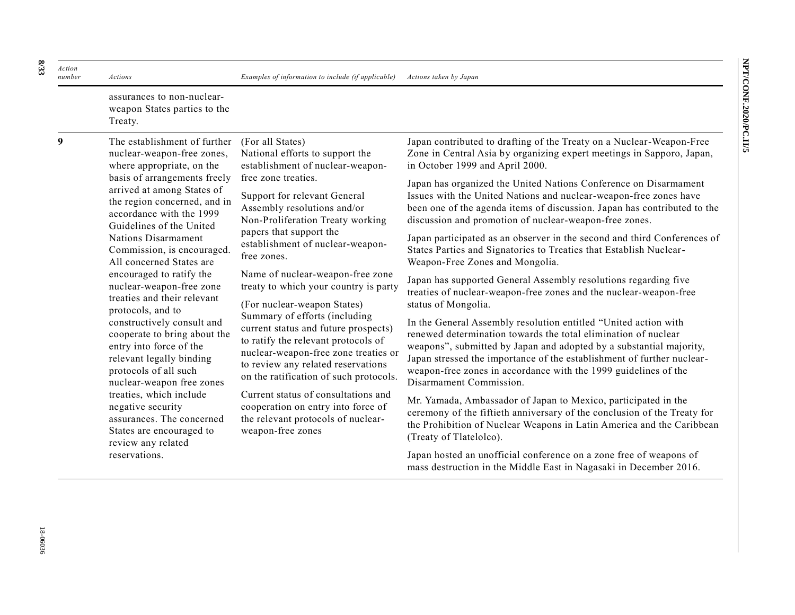| Action<br>number                                         | Actions                                                                                                                                                                                                                                                                                                                                                                                                               | Examples of information to include (if applicable)                                                                                                                                                                                   | Actions taken by Japan                                                                                                                                                                                                                                                                                                                                                           |
|----------------------------------------------------------|-----------------------------------------------------------------------------------------------------------------------------------------------------------------------------------------------------------------------------------------------------------------------------------------------------------------------------------------------------------------------------------------------------------------------|--------------------------------------------------------------------------------------------------------------------------------------------------------------------------------------------------------------------------------------|----------------------------------------------------------------------------------------------------------------------------------------------------------------------------------------------------------------------------------------------------------------------------------------------------------------------------------------------------------------------------------|
|                                                          | assurances to non-nuclear-<br>weapon States parties to the<br>Treaty.                                                                                                                                                                                                                                                                                                                                                 |                                                                                                                                                                                                                                      |                                                                                                                                                                                                                                                                                                                                                                                  |
| 9                                                        | The establishment of further<br>nuclear-weapon-free zones,<br>where appropriate, on the<br>basis of arrangements freely<br>arrived at among States of<br>the region concerned, and in<br>accordance with the 1999<br>Guidelines of the United<br>Nations Disarmament<br>Commission, is encouraged.<br>All concerned States are<br>encouraged to ratify the<br>nuclear-weapon-free zone<br>treaties and their relevant | (For all States)<br>National efforts to support the<br>establishment of nuclear-weapon-                                                                                                                                              | Japan contributed to drafting of the Treaty on a Nuclear-Weapon-Free<br>Zone in Central Asia by organizing expert meetings in Sapporo, Japan,<br>in October 1999 and April 2000.                                                                                                                                                                                                 |
|                                                          |                                                                                                                                                                                                                                                                                                                                                                                                                       | free zone treaties.<br>Support for relevant General<br>Assembly resolutions and/or<br>Non-Proliferation Treaty working                                                                                                               | Japan has organized the United Nations Conference on Disarmament<br>Issues with the United Nations and nuclear-weapon-free zones have<br>been one of the agenda items of discussion. Japan has contributed to the<br>discussion and promotion of nuclear-weapon-free zones.                                                                                                      |
| protocols, and to<br>review any related<br>reservations. |                                                                                                                                                                                                                                                                                                                                                                                                                       | papers that support the<br>establishment of nuclear-weapon-<br>free zones.                                                                                                                                                           | Japan participated as an observer in the second and third Conferences of<br>States Parties and Signatories to Treaties that Establish Nuclear-<br>Weapon-Free Zones and Mongolia.                                                                                                                                                                                                |
|                                                          |                                                                                                                                                                                                                                                                                                                                                                                                                       | Name of nuclear-weapon-free zone<br>treaty to which your country is party<br>(For nuclear-weapon States)                                                                                                                             | Japan has supported General Assembly resolutions regarding five<br>treaties of nuclear-weapon-free zones and the nuclear-weapon-free<br>status of Mongolia.                                                                                                                                                                                                                      |
|                                                          | constructively consult and<br>cooperate to bring about the<br>entry into force of the<br>relevant legally binding<br>protocols of all such<br>nuclear-weapon free zones                                                                                                                                                                                                                                               | Summary of efforts (including<br>current status and future prospects)<br>to ratify the relevant protocols of<br>nuclear-weapon-free zone treaties or<br>to review any related reservations<br>on the ratification of such protocols. | In the General Assembly resolution entitled "United action with<br>renewed determination towards the total elimination of nuclear<br>weapons", submitted by Japan and adopted by a substantial majority,<br>Japan stressed the importance of the establishment of further nuclear-<br>weapon-free zones in accordance with the 1999 guidelines of the<br>Disarmament Commission. |
|                                                          | treaties, which include<br>negative security<br>assurances. The concerned<br>States are encouraged to                                                                                                                                                                                                                                                                                                                 | Current status of consultations and<br>cooperation on entry into force of<br>the relevant protocols of nuclear-<br>weapon-free zones                                                                                                 | Mr. Yamada, Ambassador of Japan to Mexico, participated in the<br>ceremony of the fiftieth anniversary of the conclusion of the Treaty for<br>the Prohibition of Nuclear Weapons in Latin America and the Caribbean<br>(Treaty of Tlatelolco).                                                                                                                                   |
|                                                          |                                                                                                                                                                                                                                                                                                                                                                                                                       |                                                                                                                                                                                                                                      | Japan hosted an unofficial conference on a zone free of weapons of<br>mass destruction in the Middle East in Nagasaki in December 2016.                                                                                                                                                                                                                                          |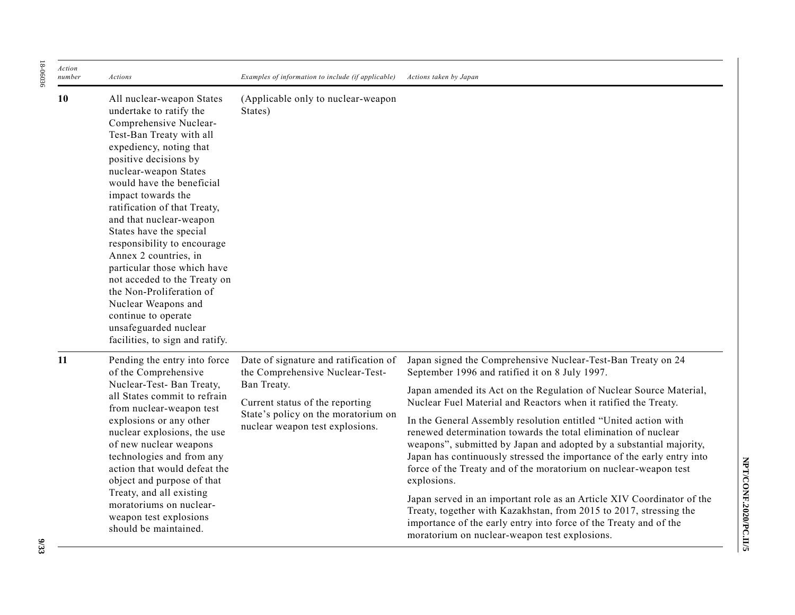| Action<br>number | Actions                                                                                                                                                                                                                                                                                                                                                                                                                                                                                                                                                                                       | Examples of information to include (if applicable)                                                                                                                                                   | Actions taken by Japan                                                                                                                                                                                                                                                                                                                                                                                                                                                                                                                                                                                                                                                                                                                                                                                                                                                                                  |
|------------------|-----------------------------------------------------------------------------------------------------------------------------------------------------------------------------------------------------------------------------------------------------------------------------------------------------------------------------------------------------------------------------------------------------------------------------------------------------------------------------------------------------------------------------------------------------------------------------------------------|------------------------------------------------------------------------------------------------------------------------------------------------------------------------------------------------------|---------------------------------------------------------------------------------------------------------------------------------------------------------------------------------------------------------------------------------------------------------------------------------------------------------------------------------------------------------------------------------------------------------------------------------------------------------------------------------------------------------------------------------------------------------------------------------------------------------------------------------------------------------------------------------------------------------------------------------------------------------------------------------------------------------------------------------------------------------------------------------------------------------|
| 10               | All nuclear-weapon States<br>undertake to ratify the<br>Comprehensive Nuclear-<br>Test-Ban Treaty with all<br>expediency, noting that<br>positive decisions by<br>nuclear-weapon States<br>would have the beneficial<br>impact towards the<br>ratification of that Treaty,<br>and that nuclear-weapon<br>States have the special<br>responsibility to encourage<br>Annex 2 countries, in<br>particular those which have<br>not acceded to the Treaty on<br>the Non-Proliferation of<br>Nuclear Weapons and<br>continue to operate<br>unsafeguarded nuclear<br>facilities, to sign and ratify. | (Applicable only to nuclear-weapon)<br>States)                                                                                                                                                       |                                                                                                                                                                                                                                                                                                                                                                                                                                                                                                                                                                                                                                                                                                                                                                                                                                                                                                         |
| 11               | Pending the entry into force<br>of the Comprehensive<br>Nuclear-Test- Ban Treaty,<br>all States commit to refrain<br>from nuclear-weapon test<br>explosions or any other<br>nuclear explosions, the use<br>of new nuclear weapons<br>technologies and from any<br>action that would defeat the<br>object and purpose of that<br>Treaty, and all existing<br>moratoriums on nuclear-<br>weapon test explosions<br>should be maintained.                                                                                                                                                        | Date of signature and ratification of<br>the Comprehensive Nuclear-Test-<br>Ban Treaty.<br>Current status of the reporting<br>State's policy on the moratorium on<br>nuclear weapon test explosions. | Japan signed the Comprehensive Nuclear-Test-Ban Treaty on 24<br>September 1996 and ratified it on 8 July 1997.<br>Japan amended its Act on the Regulation of Nuclear Source Material,<br>Nuclear Fuel Material and Reactors when it ratified the Treaty.<br>In the General Assembly resolution entitled "United action with<br>renewed determination towards the total elimination of nuclear<br>weapons", submitted by Japan and adopted by a substantial majority,<br>Japan has continuously stressed the importance of the early entry into<br>force of the Treaty and of the moratorium on nuclear-weapon test<br>explosions.<br>Japan served in an important role as an Article XIV Coordinator of the<br>Treaty, together with Kazakhstan, from 2015 to 2017, stressing the<br>importance of the early entry into force of the Treaty and of the<br>moratorium on nuclear-weapon test explosions. |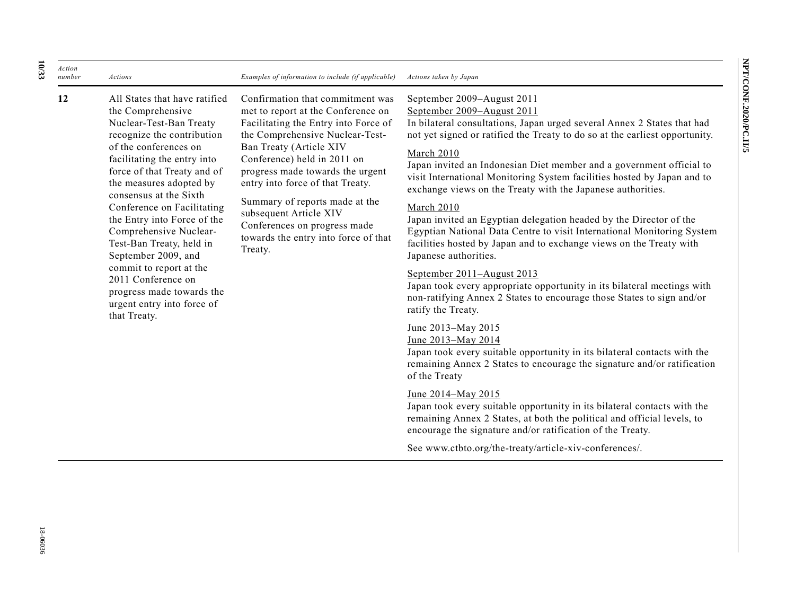*Action number Actions Examples of information to include (if applicable) Actions taken by Japan* **12** All States that have ratified the Comprehensive Nuclear-Test-Ban Treaty recognize the contribution of the conferences on facilitating the entry into force of that Treaty and of the measures adopted by consensus at the Sixth Conference on Facilitating the Entry into Force of the Comprehensive Nuclear-Test-Ban Treaty, held in September 2009, and commit to report at the 2011 Conference on progress made towards the urgent entry into force of that Treaty. Confirmation that commitment was met to report at the Conference on Facilitating the Entry into Force of the Comprehensive Nuclear-Test-Ban Treaty (Article XIV Conference) held in 2011 on progress made towards the urgent entry into force of that Treaty. Summary of reports made at the subsequent Article XIV Conferences on progress made towards the entry into force of that Treaty. September 2009–August 2011 September 2009–August 2011 In bilateral consultations, Japan urged several Annex 2 States that had not yet signed or ratified the Treaty to do so at the earliest opportunity. March 2010 Japan invited an Indonesian Diet member and a government official to visit International Monitoring System facilities hosted by Japan and to exchange views on the Treaty with the Japanese authorities. March 2010 Japan invited an Egyptian delegation headed by the Director of the Egyptian National Data Centre to visit International Monitoring System facilities hosted by Japan and to exchange views on the Treaty with Japanese authorities. September 2011–August 2013 Japan took every appropriate opportunity in its bilateral meetings with non-ratifying Annex 2 States to encourage those States to sign and/or ratify the Treaty. June 2013–May 2015 June 2013–May 2014 Japan took every suitable opportunity in its bilateral contacts with the

### June 2014‒May 2015

of the Treaty

Japan took every suitable opportunity in its bilateral contacts with the remaining Annex 2 States, at both the political and official levels, to encourage the signature and/or ratification of the Treaty.

remaining Annex 2 States to encourage the signature and/or ratification

See www.ctbto.org/the-treaty/article-xiv-conferences/.

**10 /33**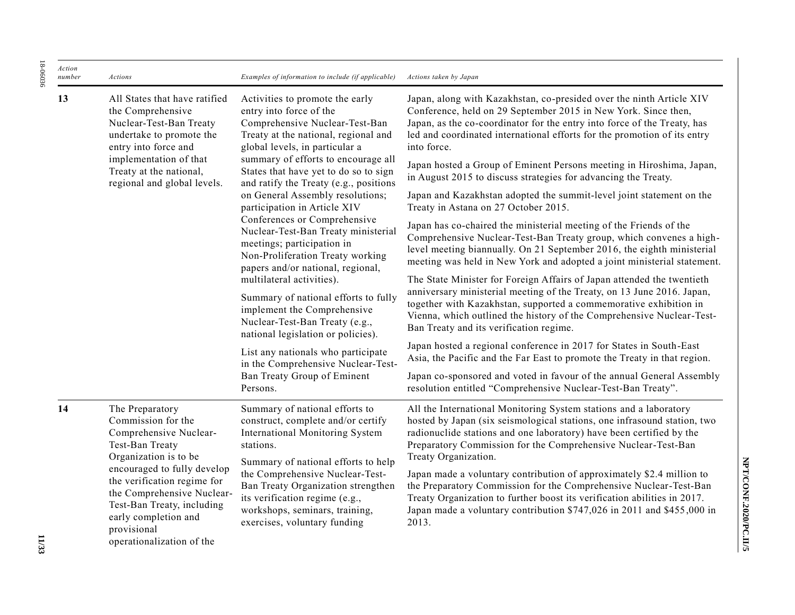| Action<br>number | Actions                                                                                                                                                                                                                                                                                                   | Examples of information to include (if applicable)                                                                                                                                                                                                                                                                                                     | Actions taken by Japan                                                                                                                                                                                                                                                                                                                    |
|------------------|-----------------------------------------------------------------------------------------------------------------------------------------------------------------------------------------------------------------------------------------------------------------------------------------------------------|--------------------------------------------------------------------------------------------------------------------------------------------------------------------------------------------------------------------------------------------------------------------------------------------------------------------------------------------------------|-------------------------------------------------------------------------------------------------------------------------------------------------------------------------------------------------------------------------------------------------------------------------------------------------------------------------------------------|
| 13               | All States that have ratified<br>the Comprehensive<br>Nuclear-Test-Ban Treaty<br>undertake to promote the<br>entry into force and                                                                                                                                                                         | Activities to promote the early<br>entry into force of the<br>Comprehensive Nuclear-Test-Ban<br>Treaty at the national, regional and<br>global levels, in particular a                                                                                                                                                                                 | Japan, along with Kazakhstan, co-presided over the ninth Article XIV<br>Conference, held on 29 September 2015 in New York. Since then,<br>Japan, as the co-coordinator for the entry into force of the Treaty, has<br>led and coordinated international efforts for the promotion of its entry<br>into force.                             |
|                  | implementation of that<br>Treaty at the national,                                                                                                                                                                                                                                                         | summary of efforts to encourage all<br>States that have yet to do so to sign                                                                                                                                                                                                                                                                           | Japan hosted a Group of Eminent Persons meeting in Hiroshima, Japan,<br>in August 2015 to discuss strategies for advancing the Treaty.                                                                                                                                                                                                    |
|                  | regional and global levels.                                                                                                                                                                                                                                                                               | and ratify the Treaty (e.g., positions<br>on General Assembly resolutions;<br>participation in Article XIV                                                                                                                                                                                                                                             | Japan and Kazakhstan adopted the summit-level joint statement on the<br>Treaty in Astana on 27 October 2015.                                                                                                                                                                                                                              |
|                  |                                                                                                                                                                                                                                                                                                           | Conferences or Comprehensive<br>Nuclear-Test-Ban Treaty ministerial<br>meetings; participation in<br>Non-Proliferation Treaty working<br>papers and/or national, regional,<br>multilateral activities).<br>Summary of national efforts to fully<br>implement the Comprehensive<br>Nuclear-Test-Ban Treaty (e.g.,<br>national legislation or policies). | Japan has co-chaired the ministerial meeting of the Friends of the<br>Comprehensive Nuclear-Test-Ban Treaty group, which convenes a high-<br>level meeting biannually. On 21 September 2016, the eighth ministerial<br>meeting was held in New York and adopted a joint ministerial statement.                                            |
|                  |                                                                                                                                                                                                                                                                                                           |                                                                                                                                                                                                                                                                                                                                                        | The State Minister for Foreign Affairs of Japan attended the twentieth<br>anniversary ministerial meeting of the Treaty, on 13 June 2016. Japan,<br>together with Kazakhstan, supported a commemorative exhibition in<br>Vienna, which outlined the history of the Comprehensive Nuclear-Test-<br>Ban Treaty and its verification regime. |
|                  |                                                                                                                                                                                                                                                                                                           | List any nationals who participate<br>in the Comprehensive Nuclear-Test-<br>Ban Treaty Group of Eminent<br>Persons.                                                                                                                                                                                                                                    | Japan hosted a regional conference in 2017 for States in South-East<br>Asia, the Pacific and the Far East to promote the Treaty in that region.                                                                                                                                                                                           |
|                  |                                                                                                                                                                                                                                                                                                           |                                                                                                                                                                                                                                                                                                                                                        | Japan co-sponsored and voted in favour of the annual General Assembly<br>resolution entitled "Comprehensive Nuclear-Test-Ban Treaty".                                                                                                                                                                                                     |
| 14               | The Preparatory<br>Commission for the<br>Comprehensive Nuclear-<br>Test-Ban Treaty<br>Organization is to be<br>encouraged to fully develop<br>the verification regime for<br>the Comprehensive Nuclear-<br>Test-Ban Treaty, including<br>early completion and<br>provisional<br>operationalization of the | Summary of national efforts to<br>construct, complete and/or certify<br>International Monitoring System<br>stations.<br>Summary of national efforts to help                                                                                                                                                                                            | All the International Monitoring System stations and a laboratory<br>hosted by Japan (six seismological stations, one infrasound station, two<br>radionuclide stations and one laboratory) have been certified by the<br>Preparatory Commission for the Comprehensive Nuclear-Test-Ban<br>Treaty Organization.                            |
|                  |                                                                                                                                                                                                                                                                                                           | the Comprehensive Nuclear-Test-<br>Ban Treaty Organization strengthen<br>its verification regime (e.g.,<br>workshops, seminars, training,<br>exercises, voluntary funding                                                                                                                                                                              | Japan made a voluntary contribution of approximately \$2.4 million to<br>the Preparatory Commission for the Comprehensive Nuclear-Test-Ban<br>Treaty Organization to further boost its verification abilities in 2017.<br>Japan made a voluntary contribution \$747,026 in 2011 and \$455,000 in<br>2013.                                 |

18-06036

18-06036

NPT/CONF.2020/PC.II/5 **NPT/CONF.2020/PC.II/5**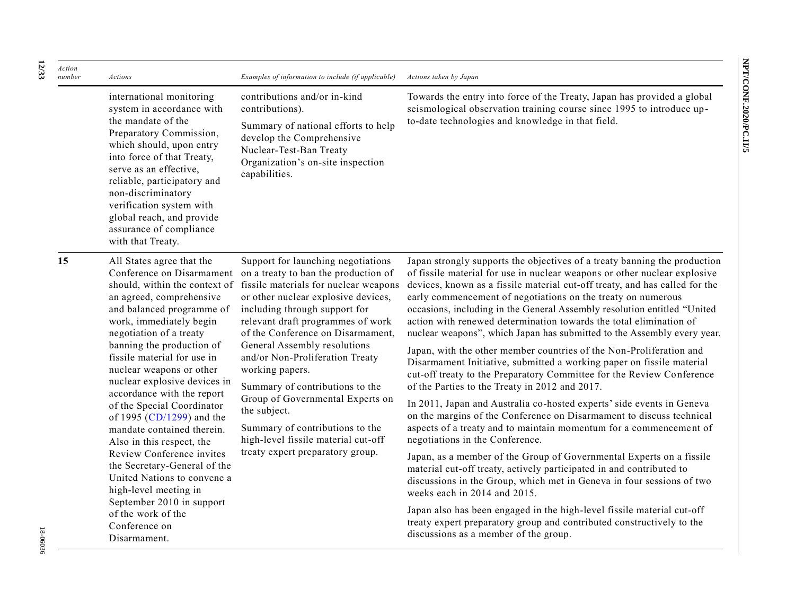| Action<br>number | Actions                                                                                                                                                                                                                                                                                                                                                                                                                                               | Examples of information to include (if applicable)                                                                                                                                                                                                                                                                                                                                                                                                                                    | Actions taken by Japan                                                                                                                                                                                                                                                                                                                                                                                                                                                                                                                                                                                                                                                                                                                                                                                                                                                                                                                                                                                                               |
|------------------|-------------------------------------------------------------------------------------------------------------------------------------------------------------------------------------------------------------------------------------------------------------------------------------------------------------------------------------------------------------------------------------------------------------------------------------------------------|---------------------------------------------------------------------------------------------------------------------------------------------------------------------------------------------------------------------------------------------------------------------------------------------------------------------------------------------------------------------------------------------------------------------------------------------------------------------------------------|--------------------------------------------------------------------------------------------------------------------------------------------------------------------------------------------------------------------------------------------------------------------------------------------------------------------------------------------------------------------------------------------------------------------------------------------------------------------------------------------------------------------------------------------------------------------------------------------------------------------------------------------------------------------------------------------------------------------------------------------------------------------------------------------------------------------------------------------------------------------------------------------------------------------------------------------------------------------------------------------------------------------------------------|
|                  | international monitoring<br>system in accordance with<br>the mandate of the<br>Preparatory Commission,<br>which should, upon entry<br>into force of that Treaty,<br>serve as an effective,<br>reliable, participatory and<br>non-discriminatory<br>verification system with<br>global reach, and provide<br>assurance of compliance<br>with that Treaty.                                                                                              | contributions and/or in-kind<br>contributions).<br>Summary of national efforts to help<br>develop the Comprehensive<br>Nuclear-Test-Ban Treaty<br>Organization's on-site inspection<br>capabilities.                                                                                                                                                                                                                                                                                  | Towards the entry into force of the Treaty, Japan has provided a global<br>seismological observation training course since 1995 to introduce up-<br>to-date technologies and knowledge in that field.                                                                                                                                                                                                                                                                                                                                                                                                                                                                                                                                                                                                                                                                                                                                                                                                                                |
| 15               | All States agree that the<br>Conference on Disarmament<br>should, within the context of<br>an agreed, comprehensive<br>and balanced programme of<br>work, immediately begin<br>negotiation of a treaty<br>banning the production of<br>fissile material for use in<br>nuclear weapons or other<br>nuclear explosive devices in<br>accordance with the report<br>of the Special Coordinator<br>of 1995 (CD/1299) and the<br>mandate contained therein. | Support for launching negotiations<br>on a treaty to ban the production of<br>fissile materials for nuclear weapons<br>or other nuclear explosive devices,<br>including through support for<br>relevant draft programmes of work<br>of the Conference on Disarmament,<br>General Assembly resolutions<br>and/or Non-Proliferation Treaty<br>working papers.<br>Summary of contributions to the<br>Group of Governmental Experts on<br>the subject.<br>Summary of contributions to the | Japan strongly supports the objectives of a treaty banning the production<br>of fissile material for use in nuclear weapons or other nuclear explosive<br>devices, known as a fissile material cut-off treaty, and has called for the<br>early commencement of negotiations on the treaty on numerous<br>occasions, including in the General Assembly resolution entitled "United<br>action with renewed determination towards the total elimination of<br>nuclear weapons", which Japan has submitted to the Assembly every year.<br>Japan, with the other member countries of the Non-Proliferation and<br>Disarmament Initiative, submitted a working paper on fissile material<br>cut-off treaty to the Preparatory Committee for the Review Conference<br>of the Parties to the Treaty in 2012 and 2017.<br>In 2011, Japan and Australia co-hosted experts' side events in Geneva<br>on the margins of the Conference on Disarmament to discuss technical<br>aspects of a treaty and to maintain momentum for a commencement of |
|                  | Also in this respect, the<br>Review Conference invites<br>the Secretary-General of the<br>United Nations to convene a<br>high-level meeting in                                                                                                                                                                                                                                                                                                        | high-level fissile material cut-off<br>treaty expert preparatory group.                                                                                                                                                                                                                                                                                                                                                                                                               | negotiations in the Conference.<br>Japan, as a member of the Group of Governmental Experts on a fissile<br>material cut-off treaty, actively participated in and contributed to<br>discussions in the Group, which met in Geneva in four sessions of two<br>weeks each in 2014 and 2015.                                                                                                                                                                                                                                                                                                                                                                                                                                                                                                                                                                                                                                                                                                                                             |
|                  | September 2010 in support<br>of the work of the<br>Conference on<br>Disarmament.                                                                                                                                                                                                                                                                                                                                                                      |                                                                                                                                                                                                                                                                                                                                                                                                                                                                                       | Japan also has been engaged in the high-level fissile material cut-off<br>treaty expert preparatory group and contributed constructively to the<br>discussions as a member of the group.                                                                                                                                                                                                                                                                                                                                                                                                                                                                                                                                                                                                                                                                                                                                                                                                                                             |

**12**

**/33**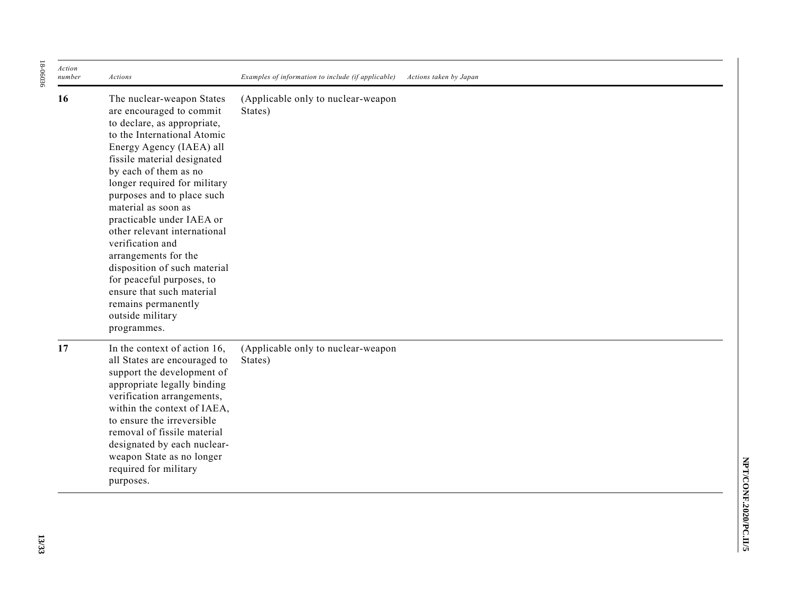| Action<br>number | Actions                                                                                                                                                                                                                                                                                                                                                                                                                                                                                                                                                   | Examples of information to include (if applicable)<br>Actions taken by Japan |
|------------------|-----------------------------------------------------------------------------------------------------------------------------------------------------------------------------------------------------------------------------------------------------------------------------------------------------------------------------------------------------------------------------------------------------------------------------------------------------------------------------------------------------------------------------------------------------------|------------------------------------------------------------------------------|
| 16               | The nuclear-weapon States<br>are encouraged to commit<br>to declare, as appropriate,<br>to the International Atomic<br>Energy Agency (IAEA) all<br>fissile material designated<br>by each of them as no<br>longer required for military<br>purposes and to place such<br>material as soon as<br>practicable under IAEA or<br>other relevant international<br>verification and<br>arrangements for the<br>disposition of such material<br>for peaceful purposes, to<br>ensure that such material<br>remains permanently<br>outside military<br>programmes. | (Applicable only to nuclear-weapon<br>States)                                |
| 17               | In the context of action 16,<br>all States are encouraged to<br>support the development of<br>appropriate legally binding<br>verification arrangements,<br>within the context of IAEA,<br>to ensure the irreversible<br>removal of fissile material<br>designated by each nuclear-<br>weapon State as no longer<br>required for military<br>purposes.                                                                                                                                                                                                     | (Applicable only to nuclear-weapon<br>States)                                |

18-06036

18-06036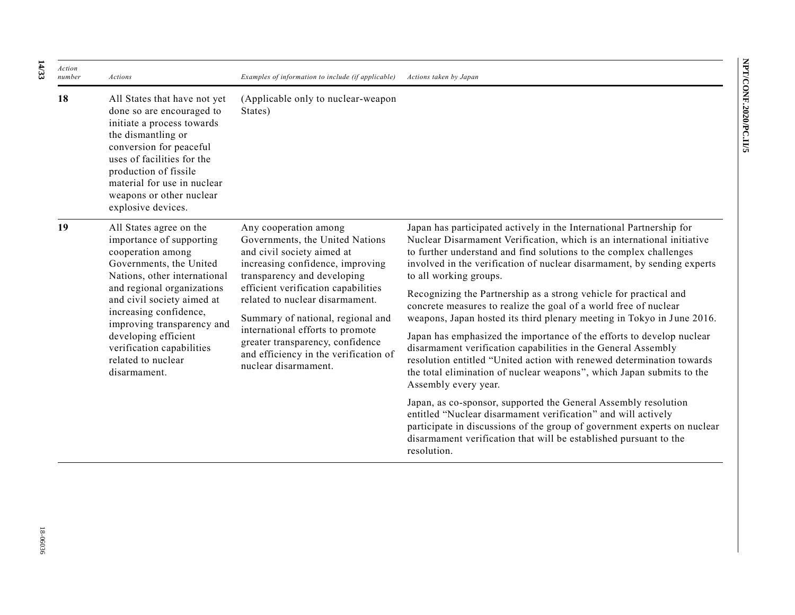| Action<br>number | Actions                                                                                                                                                                                                                                                                                                                                                                                                                                                                                                                                                                                                                                                                                                                                                                 | Examples of information to include (if applicable)                                                                                                                                                                                                                                               | Actions taken by Japan                                                                                                                                                                                                                                                                                                    |
|------------------|-------------------------------------------------------------------------------------------------------------------------------------------------------------------------------------------------------------------------------------------------------------------------------------------------------------------------------------------------------------------------------------------------------------------------------------------------------------------------------------------------------------------------------------------------------------------------------------------------------------------------------------------------------------------------------------------------------------------------------------------------------------------------|--------------------------------------------------------------------------------------------------------------------------------------------------------------------------------------------------------------------------------------------------------------------------------------------------|---------------------------------------------------------------------------------------------------------------------------------------------------------------------------------------------------------------------------------------------------------------------------------------------------------------------------|
| 18               | All States that have not yet<br>done so are encouraged to<br>initiate a process towards<br>the dismantling or<br>conversion for peaceful<br>uses of facilities for the<br>production of fissile<br>material for use in nuclear<br>weapons or other nuclear<br>explosive devices.                                                                                                                                                                                                                                                                                                                                                                                                                                                                                        | (Applicable only to nuclear-weapon<br>States)                                                                                                                                                                                                                                                    |                                                                                                                                                                                                                                                                                                                           |
| 19               | All States agree on the<br>Any cooperation among<br>importance of supporting<br>Governments, the United Nations<br>cooperation among<br>and civil society aimed at<br>Governments, the United<br>increasing confidence, improving<br>Nations, other international<br>transparency and developing<br>and regional organizations<br>efficient verification capabilities<br>and civil society aimed at<br>related to nuclear disarmament.<br>increasing confidence,<br>Summary of national, regional and<br>improving transparency and<br>international efforts to promote<br>developing efficient<br>greater transparency, confidence<br>verification capabilities<br>and efficiency in the verification of<br>related to nuclear<br>nuclear disarmament.<br>disarmament. |                                                                                                                                                                                                                                                                                                  | Japan has participated actively in the International Partnership for<br>Nuclear Disarmament Verification, which is an international initiative<br>to further understand and find solutions to the complex challenges<br>involved in the verification of nuclear disarmament, by sending experts<br>to all working groups. |
|                  |                                                                                                                                                                                                                                                                                                                                                                                                                                                                                                                                                                                                                                                                                                                                                                         |                                                                                                                                                                                                                                                                                                  | Recognizing the Partnership as a strong vehicle for practical and<br>concrete measures to realize the goal of a world free of nuclear<br>weapons, Japan hosted its third plenary meeting in Tokyo in June 2016.                                                                                                           |
|                  |                                                                                                                                                                                                                                                                                                                                                                                                                                                                                                                                                                                                                                                                                                                                                                         |                                                                                                                                                                                                                                                                                                  | Japan has emphasized the importance of the efforts to develop nuclear<br>disarmament verification capabilities in the General Assembly<br>resolution entitled "United action with renewed determination towards<br>the total elimination of nuclear weapons", which Japan submits to the<br>Assembly every year.          |
|                  |                                                                                                                                                                                                                                                                                                                                                                                                                                                                                                                                                                                                                                                                                                                                                                         | Japan, as co-sponsor, supported the General Assembly resolution<br>entitled "Nuclear disarmament verification" and will actively<br>participate in discussions of the group of government experts on nuclear<br>disarmament verification that will be established pursuant to the<br>resolution. |                                                                                                                                                                                                                                                                                                                           |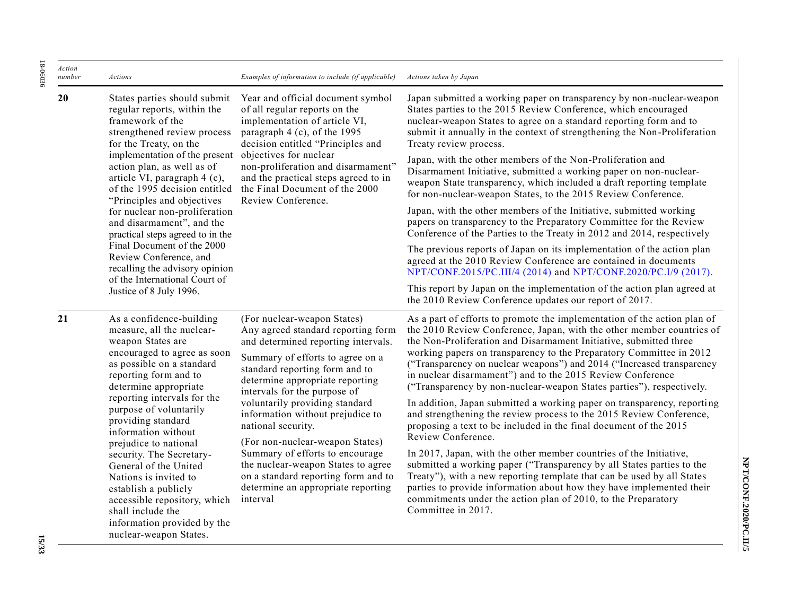| Action<br>number | Actions                                                                                                                                                                                                                                                                                                                      | Examples of information to include (if applicable)                                                                                                                                                                                                                                                                                                                                                                                                                                               | Actions taken by Japan                                                                                                                                                                                                                                                                                                                                                                                                                                                                                                                                                                  |
|------------------|------------------------------------------------------------------------------------------------------------------------------------------------------------------------------------------------------------------------------------------------------------------------------------------------------------------------------|--------------------------------------------------------------------------------------------------------------------------------------------------------------------------------------------------------------------------------------------------------------------------------------------------------------------------------------------------------------------------------------------------------------------------------------------------------------------------------------------------|-----------------------------------------------------------------------------------------------------------------------------------------------------------------------------------------------------------------------------------------------------------------------------------------------------------------------------------------------------------------------------------------------------------------------------------------------------------------------------------------------------------------------------------------------------------------------------------------|
| 20               | States parties should submit<br>regular reports, within the<br>framework of the<br>strengthened review process<br>for the Treaty, on the<br>implementation of the present<br>action plan, as well as of<br>article VI, paragraph 4 (c),<br>of the 1995 decision entitled                                                     | Year and official document symbol<br>of all regular reports on the<br>implementation of article VI,<br>paragraph 4 (c), of the 1995<br>decision entitled "Principles and<br>objectives for nuclear<br>non-proliferation and disarmament"<br>and the practical steps agreed to in<br>the Final Document of the 2000<br>Review Conference.                                                                                                                                                         | Japan submitted a working paper on transparency by non-nuclear-weapon<br>States parties to the 2015 Review Conference, which encouraged<br>nuclear-weapon States to agree on a standard reporting form and to<br>submit it annually in the context of strengthening the Non-Proliferation<br>Treaty review process.                                                                                                                                                                                                                                                                     |
|                  |                                                                                                                                                                                                                                                                                                                              |                                                                                                                                                                                                                                                                                                                                                                                                                                                                                                  | Japan, with the other members of the Non-Proliferation and<br>Disarmament Initiative, submitted a working paper on non-nuclear-<br>weapon State transparency, which included a draft reporting template<br>for non-nuclear-weapon States, to the 2015 Review Conference.                                                                                                                                                                                                                                                                                                                |
|                  | "Principles and objectives<br>for nuclear non-proliferation<br>and disarmament", and the<br>practical steps agreed to in the                                                                                                                                                                                                 |                                                                                                                                                                                                                                                                                                                                                                                                                                                                                                  | Japan, with the other members of the Initiative, submitted working<br>papers on transparency to the Preparatory Committee for the Review<br>Conference of the Parties to the Treaty in 2012 and 2014, respectively                                                                                                                                                                                                                                                                                                                                                                      |
|                  | Final Document of the 2000<br>Review Conference, and<br>recalling the advisory opinion<br>of the International Court of<br>Justice of 8 July 1996.                                                                                                                                                                           |                                                                                                                                                                                                                                                                                                                                                                                                                                                                                                  | The previous reports of Japan on its implementation of the action plan<br>agreed at the 2010 Review Conference are contained in documents<br>NPT/CONF.2015/PC.III/4 (2014) and NPT/CONF.2020/PC.I/9 (2017).                                                                                                                                                                                                                                                                                                                                                                             |
|                  |                                                                                                                                                                                                                                                                                                                              |                                                                                                                                                                                                                                                                                                                                                                                                                                                                                                  | This report by Japan on the implementation of the action plan agreed at<br>the 2010 Review Conference updates our report of 2017.                                                                                                                                                                                                                                                                                                                                                                                                                                                       |
| 21               | As a confidence-building<br>measure, all the nuclear-<br>weapon States are<br>encouraged to agree as soon<br>as possible on a standard<br>reporting form and to<br>determine appropriate<br>reporting intervals for the                                                                                                      | (For nuclear-weapon States)<br>Any agreed standard reporting form<br>and determined reporting intervals.<br>Summary of efforts to agree on a<br>standard reporting form and to<br>determine appropriate reporting<br>intervals for the purpose of<br>voluntarily providing standard<br>information without prejudice to<br>national security.<br>(For non-nuclear-weapon States)<br>Summary of efforts to encourage<br>the nuclear-weapon States to agree<br>on a standard reporting form and to | As a part of efforts to promote the implementation of the action plan of<br>the 2010 Review Conference, Japan, with the other member countries of<br>the Non-Proliferation and Disarmament Initiative, submitted three<br>working papers on transparency to the Preparatory Committee in 2012<br>("Transparency on nuclear weapons") and 2014 ("Increased transparency<br>in nuclear disarmament") and to the 2015 Review Conference<br>("Transparency by non-nuclear-weapon States parties"), respectively.<br>In addition, Japan submitted a working paper on transparency, reporting |
|                  | purpose of voluntarily<br>providing standard<br>information without<br>prejudice to national<br>security. The Secretary-<br>General of the United<br>Nations is invited to<br>establish a publicly<br>interval<br>accessible repository, which<br>shall include the<br>information provided by the<br>nuclear-weapon States. |                                                                                                                                                                                                                                                                                                                                                                                                                                                                                                  | and strengthening the review process to the 2015 Review Conference,<br>proposing a text to be included in the final document of the 2015<br>Review Conference.                                                                                                                                                                                                                                                                                                                                                                                                                          |
|                  |                                                                                                                                                                                                                                                                                                                              | determine an appropriate reporting                                                                                                                                                                                                                                                                                                                                                                                                                                                               | In 2017, Japan, with the other member countries of the Initiative,<br>submitted a working paper ("Transparency by all States parties to the<br>Treaty"), with a new reporting template that can be used by all States<br>parties to provide information about how they have implemented their<br>commitments under the action plan of 2010, to the Preparatory<br>Committee in 2017.                                                                                                                                                                                                    |

18-06036 18-06036

**NPT/CONF.2020/PC.II/5**

NPT/CONF.2020/PC.II/5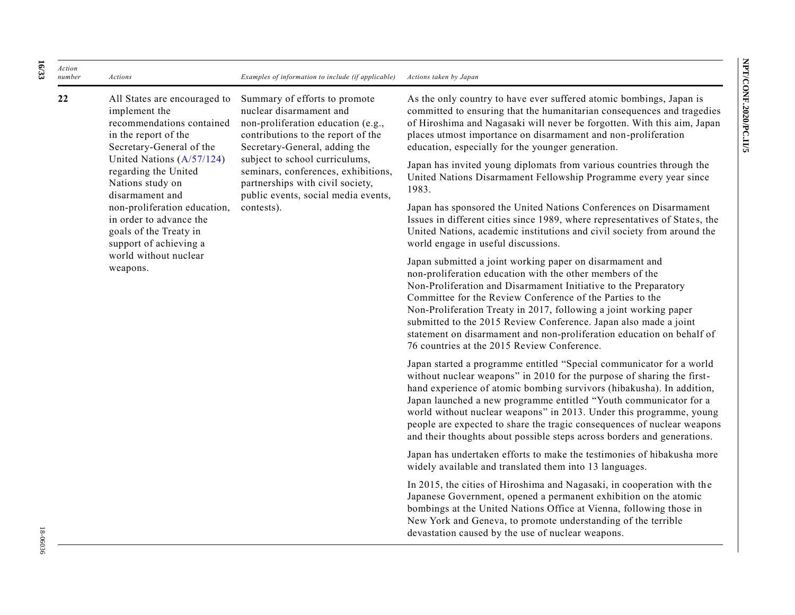*Action number Actions Examples of information to include (if applicable) Actions taken by Japan* **22** All States are encouraged to implement the Summary of efforts to promote nuclear disarmament and As the only country to have ever suffered atomic bombings, Japan is

recommendations contained in the report of the Secretary-General of the United Nations [\(A/57/124\)](https://undocs.org/A/57/124) regarding the United Nations study on disarmament and non-proliferation education, in order to advance the goals of the Treaty in support of achieving a world without nuclear weapons.

non-proliferation education (e.g., contributions to the report of the Secretary-General, adding the subject to school curriculums, seminars, conferences, exhibitions, partnerships with civil society, public events, social media events, contests).

committed to ensuring that the humanitarian consequences and tragedies of Hiroshima and Nagasaki will never be forgotten. With this aim, Japan places utmost importance on disarmament and non-proliferation education, especially for the younger generation.

Japan has invited young diplomats from various countries through the United Nations Disarmament Fellowship Programme every year since 1983.

Japan has sponsored the United Nations Conferences on Disarmament Issues in different cities since 1989, where representatives of State s, the United Nations, academic institutions and civil society from around the world engage in useful discussions.

Japan submitted a joint working paper on disarmament and non-proliferation education with the other members of the Non-Proliferation and Disarmament Initiative to the Preparatory Committee for the Review Conference of the Parties to the Non-Proliferation Treaty in 2017, following a joint working paper submitted to the 2015 Review Conference. Japan also made a joint statement on disarmament and non-proliferation education on behalf of 76 countries at the 2015 Review Conference.

Japan started a programme entitled "Special communicator for a world without nuclear weapons" in 2010 for the purpose of sharing the firsthand experience of atomic bombing survivors (hibakusha). In addition, Japan launched a new programme entitled "Youth communicator for a world without nuclear weapons" in 2013. Under this programme, young people are expected to share the tragic consequences of nuclear weapons and their thoughts about possible steps across borders and generations.

Japan has undertaken efforts to make the testimonies of hibakusha more widely available and translated them into 13 languages.

In 2015, the cities of Hiroshima and Nagasaki, in cooperation with the Japanese Government, opened a permanent exhibition on the atomic bombings at the United Nations Office at Vienna, following those in New York and Geneva, to promote understanding of the terrible devastation caused by the use of nuclear weapons.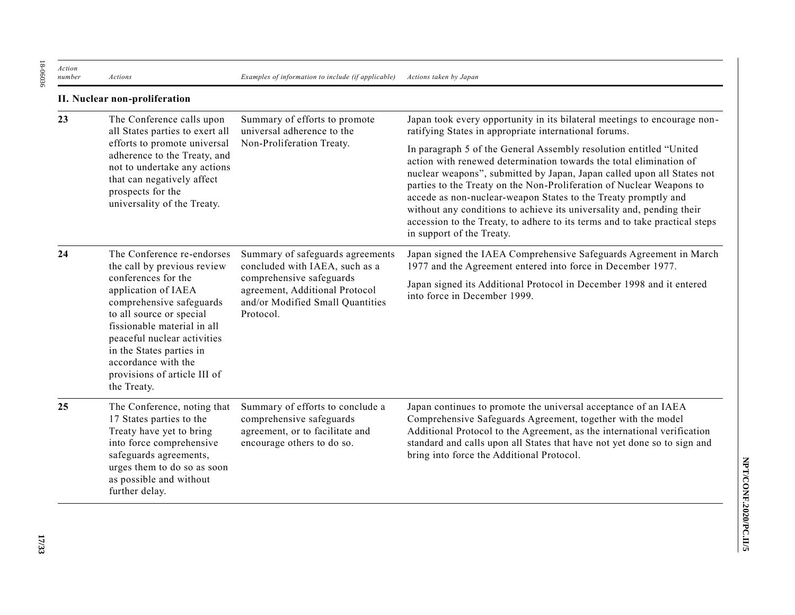18-06036 18-06036

**II. Nuclear non-proliferation**

| 23 | The Conference calls upon<br>all States parties to exert all                                                                                                                                                                                                       | Summary of efforts to promote<br>universal adherence to the                                                                   | Japan took every opportunity in its bilateral meetings to encourage non-<br>ratifying States in appropriate international forums.                                                                                                                                                                                                                                                                                                                                                                                                                 |
|----|--------------------------------------------------------------------------------------------------------------------------------------------------------------------------------------------------------------------------------------------------------------------|-------------------------------------------------------------------------------------------------------------------------------|---------------------------------------------------------------------------------------------------------------------------------------------------------------------------------------------------------------------------------------------------------------------------------------------------------------------------------------------------------------------------------------------------------------------------------------------------------------------------------------------------------------------------------------------------|
|    | efforts to promote universal<br>adherence to the Treaty, and<br>not to undertake any actions<br>that can negatively affect<br>prospects for the<br>universality of the Treaty.                                                                                     | Non-Proliferation Treaty.                                                                                                     | In paragraph 5 of the General Assembly resolution entitled "United<br>action with renewed determination towards the total elimination of<br>nuclear weapons", submitted by Japan, Japan called upon all States not<br>parties to the Treaty on the Non-Proliferation of Nuclear Weapons to<br>accede as non-nuclear-weapon States to the Treaty promptly and<br>without any conditions to achieve its universality and, pending their<br>accession to the Treaty, to adhere to its terms and to take practical steps<br>in support of the Treaty. |
| 24 | The Conference re-endorses<br>the call by previous review                                                                                                                                                                                                          | Summary of safeguards agreements<br>concluded with IAEA, such as a                                                            | Japan signed the IAEA Comprehensive Safeguards Agreement in March<br>1977 and the Agreement entered into force in December 1977.                                                                                                                                                                                                                                                                                                                                                                                                                  |
|    | conferences for the<br>application of IAEA<br>comprehensive safeguards<br>to all source or special<br>fissionable material in all<br>peaceful nuclear activities<br>in the States parties in<br>accordance with the<br>provisions of article III of<br>the Treaty. | comprehensive safeguards<br>agreement, Additional Protocol<br>and/or Modified Small Quantities<br>Protocol.                   | Japan signed its Additional Protocol in December 1998 and it entered<br>into force in December 1999.                                                                                                                                                                                                                                                                                                                                                                                                                                              |
| 25 | The Conference, noting that<br>17 States parties to the<br>Treaty have yet to bring<br>into force comprehensive<br>safeguards agreements,<br>urges them to do so as soon<br>as possible and without<br>further delay.                                              | Summary of efforts to conclude a<br>comprehensive safeguards<br>agreement, or to facilitate and<br>encourage others to do so. | Japan continues to promote the universal acceptance of an IAEA<br>Comprehensive Safeguards Agreement, together with the model<br>Additional Protocol to the Agreement, as the international verification<br>standard and calls upon all States that have not yet done so to sign and<br>bring into force the Additional Protocol.                                                                                                                                                                                                                 |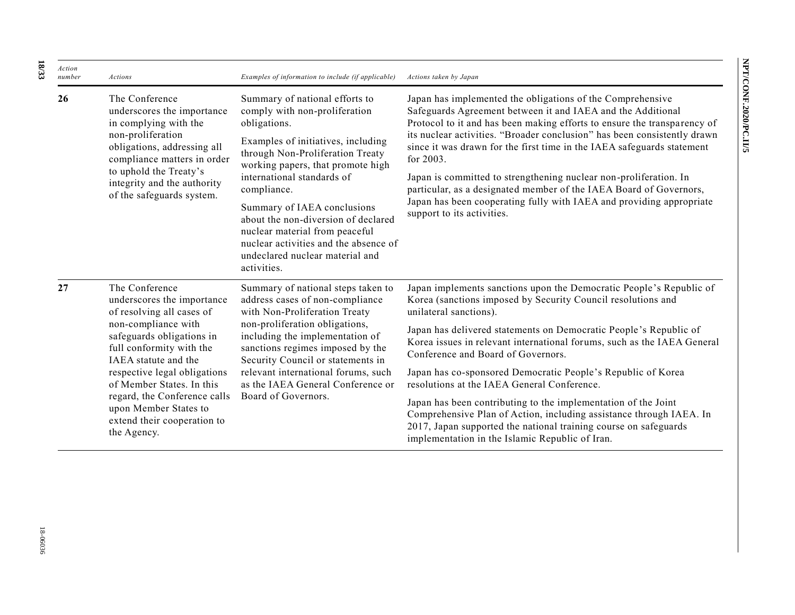| ì |
|---|
|   |
|   |
|   |
| S |
|   |

| Action<br>number | Actions                                                                                                                                                                                                                                                                                                                                               | Examples of information to include (if applicable)                                                                                                                                                                                                                                                                                                                                                                                             | Actions taken by Japan                                                                                                                                                                                                                                                                                                                                                                                                                                                                                                                                                                                                                                                                                                             |
|------------------|-------------------------------------------------------------------------------------------------------------------------------------------------------------------------------------------------------------------------------------------------------------------------------------------------------------------------------------------------------|------------------------------------------------------------------------------------------------------------------------------------------------------------------------------------------------------------------------------------------------------------------------------------------------------------------------------------------------------------------------------------------------------------------------------------------------|------------------------------------------------------------------------------------------------------------------------------------------------------------------------------------------------------------------------------------------------------------------------------------------------------------------------------------------------------------------------------------------------------------------------------------------------------------------------------------------------------------------------------------------------------------------------------------------------------------------------------------------------------------------------------------------------------------------------------------|
| 26               | The Conference<br>underscores the importance<br>in complying with the<br>non-proliferation<br>obligations, addressing all<br>compliance matters in order<br>to uphold the Treaty's<br>integrity and the authority<br>of the safeguards system.                                                                                                        | Summary of national efforts to<br>comply with non-proliferation<br>obligations.<br>Examples of initiatives, including<br>through Non-Proliferation Treaty<br>working papers, that promote high<br>international standards of<br>compliance.<br>Summary of IAEA conclusions<br>about the non-diversion of declared<br>nuclear material from peaceful<br>nuclear activities and the absence of<br>undeclared nuclear material and<br>activities. | Japan has implemented the obligations of the Comprehensive<br>Safeguards Agreement between it and IAEA and the Additional<br>Protocol to it and has been making efforts to ensure the transparency of<br>its nuclear activities. "Broader conclusion" has been consistently drawn<br>since it was drawn for the first time in the IAEA safeguards statement<br>for 2003.<br>Japan is committed to strengthening nuclear non-proliferation. In<br>particular, as a designated member of the IAEA Board of Governors,<br>Japan has been cooperating fully with IAEA and providing appropriate<br>support to its activities.                                                                                                          |
| 27               | The Conference<br>underscores the importance<br>of resolving all cases of<br>non-compliance with<br>safeguards obligations in<br>full conformity with the<br>IAEA statute and the<br>respective legal obligations<br>of Member States. In this<br>regard, the Conference calls<br>upon Member States to<br>extend their cooperation to<br>the Agency. | Summary of national steps taken to<br>address cases of non-compliance<br>with Non-Proliferation Treaty<br>non-proliferation obligations,<br>including the implementation of<br>sanctions regimes imposed by the<br>Security Council or statements in<br>relevant international forums, such<br>as the IAEA General Conference or<br>Board of Governors.                                                                                        | Japan implements sanctions upon the Democratic People's Republic of<br>Korea (sanctions imposed by Security Council resolutions and<br>unilateral sanctions).<br>Japan has delivered statements on Democratic People's Republic of<br>Korea issues in relevant international forums, such as the IAEA General<br>Conference and Board of Governors.<br>Japan has co-sponsored Democratic People's Republic of Korea<br>resolutions at the IAEA General Conference.<br>Japan has been contributing to the implementation of the Joint<br>Comprehensive Plan of Action, including assistance through IAEA. In<br>2017, Japan supported the national training course on safeguards<br>implementation in the Islamic Republic of Iran. |

**18**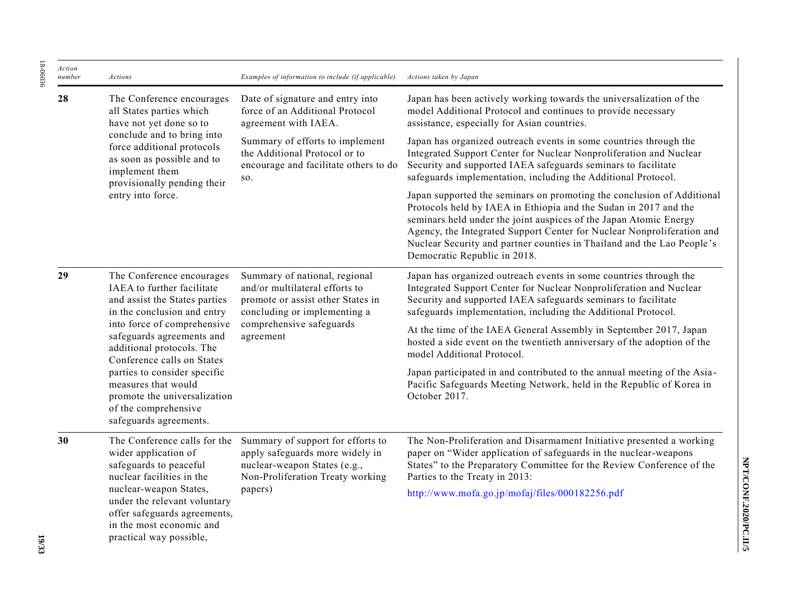| Action<br>number | Actions                                                                                                                                                                                                                                        | Examples of information to include (if applicable)                                                                                                                            | Actions taken by Japan                                                                                                                                                                                                                                                                                                                                                                              |
|------------------|------------------------------------------------------------------------------------------------------------------------------------------------------------------------------------------------------------------------------------------------|-------------------------------------------------------------------------------------------------------------------------------------------------------------------------------|-----------------------------------------------------------------------------------------------------------------------------------------------------------------------------------------------------------------------------------------------------------------------------------------------------------------------------------------------------------------------------------------------------|
| 28               | The Conference encourages<br>all States parties which<br>have not yet done so to                                                                                                                                                               | Date of signature and entry into<br>force of an Additional Protocol<br>agreement with IAEA.                                                                                   | Japan has been actively working towards the universalization of the<br>model Additional Protocol and continues to provide necessary<br>assistance, especially for Asian countries.                                                                                                                                                                                                                  |
|                  | conclude and to bring into<br>force additional protocols<br>as soon as possible and to<br>implement them                                                                                                                                       | Summary of efforts to implement<br>the Additional Protocol or to<br>encourage and facilitate others to do<br>SO.                                                              | Japan has organized outreach events in some countries through the<br>Integrated Support Center for Nuclear Nonproliferation and Nuclear<br>Security and supported IAEA safeguards seminars to facilitate<br>safeguards implementation, including the Additional Protocol.                                                                                                                           |
|                  | provisionally pending their<br>entry into force.                                                                                                                                                                                               |                                                                                                                                                                               | Japan supported the seminars on promoting the conclusion of Additional<br>Protocols held by IAEA in Ethiopia and the Sudan in 2017 and the<br>seminars held under the joint auspices of the Japan Atomic Energy<br>Agency, the Integrated Support Center for Nuclear Nonproliferation and<br>Nuclear Security and partner counties in Thailand and the Lao People's<br>Democratic Republic in 2018. |
| 29               | The Conference encourages<br>IAEA to further facilitate<br>and assist the States parties<br>in the conclusion and entry<br>into force of comprehensive<br>safeguards agreements and<br>additional protocols. The<br>Conference calls on States | Summary of national, regional<br>and/or multilateral efforts to<br>promote or assist other States in<br>concluding or implementing a<br>comprehensive safeguards<br>agreement | Japan has organized outreach events in some countries through the<br>Integrated Support Center for Nuclear Nonproliferation and Nuclear<br>Security and supported IAEA safeguards seminars to facilitate<br>safeguards implementation, including the Additional Protocol.                                                                                                                           |
|                  |                                                                                                                                                                                                                                                |                                                                                                                                                                               | At the time of the IAEA General Assembly in September 2017, Japan<br>hosted a side event on the twentieth anniversary of the adoption of the<br>model Additional Protocol.                                                                                                                                                                                                                          |
|                  | parties to consider specific<br>measures that would<br>promote the universalization<br>of the comprehensive<br>safeguards agreements.                                                                                                          |                                                                                                                                                                               | Japan participated in and contributed to the annual meeting of the Asia-<br>Pacific Safeguards Meeting Network, held in the Republic of Korea in<br>October 2017.                                                                                                                                                                                                                                   |
| 30               | The Conference calls for the<br>wider application of<br>safeguards to peaceful<br>nuclear facilities in the                                                                                                                                    | Summary of support for efforts to<br>apply safeguards more widely in<br>nuclear-weapon States (e.g.,<br>Non-Proliferation Treaty working                                      | The Non-Proliferation and Disarmament Initiative presented a working<br>paper on "Wider application of safeguards in the nuclear-weapons<br>States" to the Preparatory Committee for the Review Conference of the<br>Parties to the Treaty in 2013:                                                                                                                                                 |
|                  | nuclear-weapon States,<br>papers)<br>under the relevant voluntary<br>offer safeguards agreements,<br>in the most economic and<br>practical way possible,                                                                                       | http://www.mofa.go.jp/mofaj/files/000182256.pdf                                                                                                                               |                                                                                                                                                                                                                                                                                                                                                                                                     |

18-06036

18-06036

NPT/CONF.2020/PC.II/5 **NPT/CONF.2020/PC.II/5**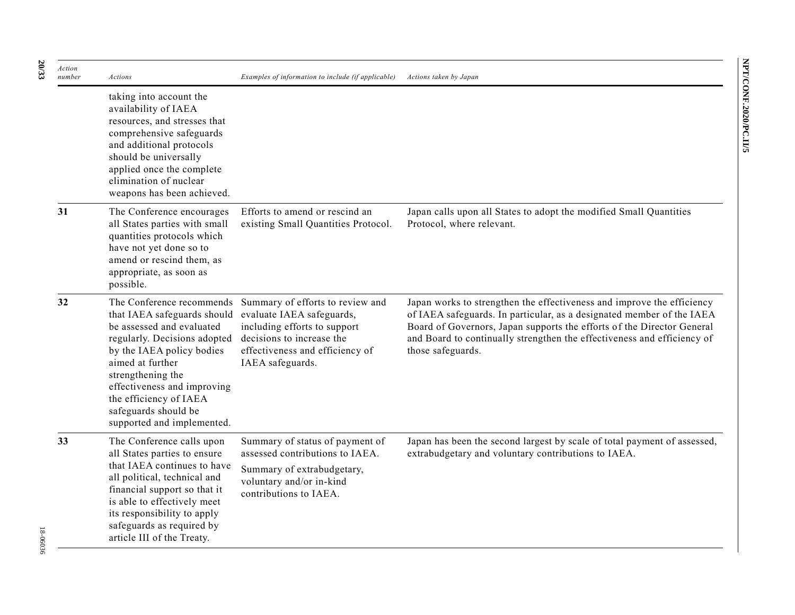| Action<br>number | Actions                                                                                                                                                                                                                                                                           | Examples of information to include (if applicable)                                                                                                                                                          | Actions taken by Japan                                                                                                                                                                                                                                                                                                    |
|------------------|-----------------------------------------------------------------------------------------------------------------------------------------------------------------------------------------------------------------------------------------------------------------------------------|-------------------------------------------------------------------------------------------------------------------------------------------------------------------------------------------------------------|---------------------------------------------------------------------------------------------------------------------------------------------------------------------------------------------------------------------------------------------------------------------------------------------------------------------------|
|                  | taking into account the<br>availability of IAEA<br>resources, and stresses that<br>comprehensive safeguards<br>and additional protocols<br>should be universally<br>applied once the complete<br>elimination of nuclear<br>weapons has been achieved.                             |                                                                                                                                                                                                             |                                                                                                                                                                                                                                                                                                                           |
| 31               | The Conference encourages<br>all States parties with small<br>quantities protocols which<br>have not yet done so to<br>amend or rescind them, as<br>appropriate, as soon as<br>possible.                                                                                          | Efforts to amend or rescind an<br>existing Small Quantities Protocol.                                                                                                                                       | Japan calls upon all States to adopt the modified Small Quantities<br>Protocol, where relevant.                                                                                                                                                                                                                           |
| 32               | that IAEA safeguards should<br>be assessed and evaluated<br>regularly. Decisions adopted<br>by the IAEA policy bodies<br>aimed at further<br>strengthening the<br>effectiveness and improving<br>the efficiency of IAEA<br>safeguards should be<br>supported and implemented.     | The Conference recommends Summary of efforts to review and<br>evaluate IAEA safeguards,<br>including efforts to support<br>decisions to increase the<br>effectiveness and efficiency of<br>IAEA safeguards. | Japan works to strengthen the effectiveness and improve the efficiency<br>of IAEA safeguards. In particular, as a designated member of the IAEA<br>Board of Governors, Japan supports the efforts of the Director General<br>and Board to continually strengthen the effectiveness and efficiency of<br>those safeguards. |
| 33               | The Conference calls upon<br>all States parties to ensure<br>that IAEA continues to have<br>all political, technical and<br>financial support so that it<br>is able to effectively meet<br>its responsibility to apply<br>safeguards as required by<br>article III of the Treaty. | Summary of status of payment of<br>assessed contributions to IAEA.<br>Summary of extrabudgetary,<br>voluntary and/or in-kind<br>contributions to IAEA.                                                      | Japan has been the second largest by scale of total payment of assessed,<br>extrabudgetary and voluntary contributions to IAEA.                                                                                                                                                                                           |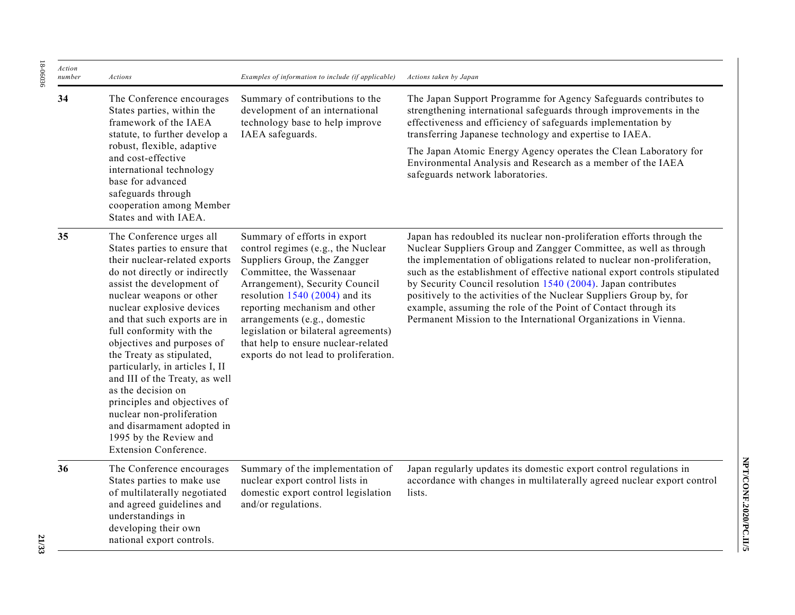| Action<br>number | Actions                                                                                                                                                                                                                                                                                                                                                                                                                                                                                                                                                                                  | Examples of information to include (if applicable)                                                                                                                                                                                                                                                                                                                                           | Actions taken by Japan                                                                                                                                                                                                                                                                                                                                                                                                                                                                                                                                                           |
|------------------|------------------------------------------------------------------------------------------------------------------------------------------------------------------------------------------------------------------------------------------------------------------------------------------------------------------------------------------------------------------------------------------------------------------------------------------------------------------------------------------------------------------------------------------------------------------------------------------|----------------------------------------------------------------------------------------------------------------------------------------------------------------------------------------------------------------------------------------------------------------------------------------------------------------------------------------------------------------------------------------------|----------------------------------------------------------------------------------------------------------------------------------------------------------------------------------------------------------------------------------------------------------------------------------------------------------------------------------------------------------------------------------------------------------------------------------------------------------------------------------------------------------------------------------------------------------------------------------|
| 34               | The Conference encourages<br>States parties, within the<br>framework of the IAEA<br>statute, to further develop a<br>robust, flexible, adaptive<br>and cost-effective<br>international technology<br>base for advanced<br>safeguards through<br>cooperation among Member<br>States and with IAEA.                                                                                                                                                                                                                                                                                        | Summary of contributions to the<br>development of an international<br>technology base to help improve<br>IAEA safeguards.                                                                                                                                                                                                                                                                    | The Japan Support Programme for Agency Safeguards contributes to<br>strengthening international safeguards through improvements in the<br>effectiveness and efficiency of safeguards implementation by<br>transferring Japanese technology and expertise to IAEA.<br>The Japan Atomic Energy Agency operates the Clean Laboratory for<br>Environmental Analysis and Research as a member of the IAEA<br>safeguards network laboratories.                                                                                                                                         |
| 35               | The Conference urges all<br>States parties to ensure that<br>their nuclear-related exports<br>do not directly or indirectly<br>assist the development of<br>nuclear weapons or other<br>nuclear explosive devices<br>and that such exports are in<br>full conformity with the<br>objectives and purposes of<br>the Treaty as stipulated,<br>particularly, in articles I, II<br>and III of the Treaty, as well<br>as the decision on<br>principles and objectives of<br>nuclear non-proliferation<br>and disarmament adopted in<br>1995 by the Review and<br><b>Extension Conference.</b> | Summary of efforts in export<br>control regimes (e.g., the Nuclear<br>Suppliers Group, the Zangger<br>Committee, the Wassenaar<br>Arrangement), Security Council<br>resolution $1540(2004)$ and its<br>reporting mechanism and other<br>arrangements (e.g., domestic<br>legislation or bilateral agreements)<br>that help to ensure nuclear-related<br>exports do not lead to proliferation. | Japan has redoubled its nuclear non-proliferation efforts through the<br>Nuclear Suppliers Group and Zangger Committee, as well as through<br>the implementation of obligations related to nuclear non-proliferation,<br>such as the establishment of effective national export controls stipulated<br>by Security Council resolution 1540 (2004). Japan contributes<br>positively to the activities of the Nuclear Suppliers Group by, for<br>example, assuming the role of the Point of Contact through its<br>Permanent Mission to the International Organizations in Vienna. |
| 36               | The Conference encourages<br>States parties to make use<br>of multilaterally negotiated<br>and agreed guidelines and<br>understandings in<br>developing their own<br>national export controls.                                                                                                                                                                                                                                                                                                                                                                                           | Summary of the implementation of<br>nuclear export control lists in<br>domestic export control legislation<br>and/or regulations.                                                                                                                                                                                                                                                            | Japan regularly updates its domestic export control regulations in<br>accordance with changes in multilaterally agreed nuclear export control<br>lists.                                                                                                                                                                                                                                                                                                                                                                                                                          |

18-06036

18-06036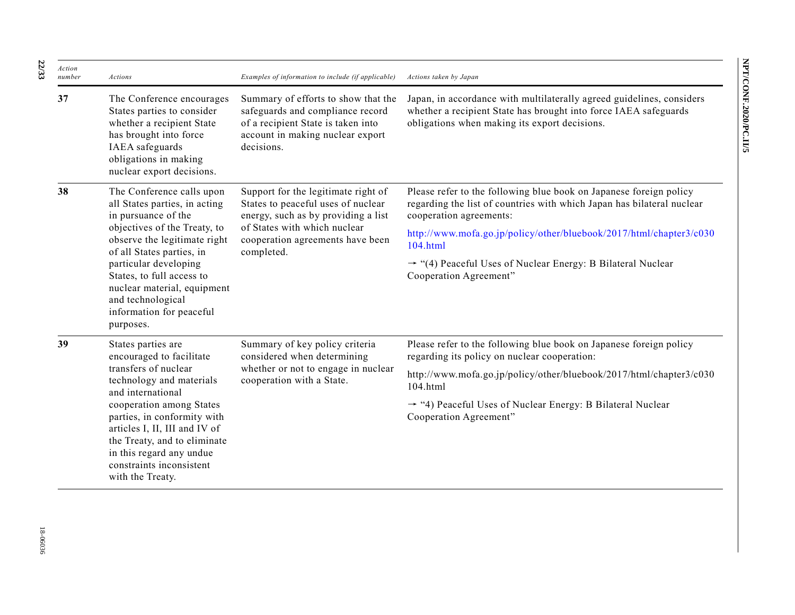| Action<br>number | Actions                                                                                                                                                                                              | Examples of information to include (if applicable)                                                                                                              | Actions taken by Japan                                                                                                                                                                     |
|------------------|------------------------------------------------------------------------------------------------------------------------------------------------------------------------------------------------------|-----------------------------------------------------------------------------------------------------------------------------------------------------------------|--------------------------------------------------------------------------------------------------------------------------------------------------------------------------------------------|
| 37               | The Conference encourages<br>States parties to consider<br>whether a recipient State<br>has brought into force<br>IAEA safeguards<br>obligations in making<br>nuclear export decisions.              | Summary of efforts to show that the<br>safeguards and compliance record<br>of a recipient State is taken into<br>account in making nuclear export<br>decisions. | Japan, in accordance with multilaterally agreed guidelines, considers<br>whether a recipient State has brought into force IAEA safeguards<br>obligations when making its export decisions. |
| 38               | The Conference calls upon<br>all States parties, in acting<br>in pursuance of the<br>objectives of the Treaty, to<br>observe the legitimate right<br>of all States parties, in                       | Support for the legitimate right of<br>States to peaceful uses of nuclear<br>energy, such as by providing a list                                                | Please refer to the following blue book on Japanese foreign policy<br>regarding the list of countries with which Japan has bilateral nuclear<br>cooperation agreements:                    |
|                  |                                                                                                                                                                                                      | of States with which nuclear<br>cooperation agreements have been<br>completed.                                                                                  | http://www.mofa.go.jp/policy/other/bluebook/2017/html/chapter3/c030<br>104.html                                                                                                            |
|                  | particular developing<br>States, to full access to<br>nuclear material, equipment<br>and technological<br>information for peaceful<br>purposes.                                                      |                                                                                                                                                                 | $\rightarrow$ "(4) Peaceful Uses of Nuclear Energy: B Bilateral Nuclear<br>Cooperation Agreement"                                                                                          |
| 39               | States parties are<br>encouraged to facilitate                                                                                                                                                       | Summary of key policy criteria<br>considered when determining<br>whether or not to engage in nuclear<br>cooperation with a State.                               | Please refer to the following blue book on Japanese foreign policy<br>regarding its policy on nuclear cooperation:                                                                         |
|                  | transfers of nuclear<br>technology and materials<br>and international                                                                                                                                |                                                                                                                                                                 | http://www.mofa.go.jp/policy/other/bluebook/2017/html/chapter3/c030<br>104.html                                                                                                            |
|                  | cooperation among States<br>parties, in conformity with<br>articles I, II, III and IV of<br>the Treaty, and to eliminate<br>in this regard any undue<br>constraints inconsistent<br>with the Treaty. |                                                                                                                                                                 | → "4) Peaceful Uses of Nuclear Energy: B Bilateral Nuclear<br>Cooperation Agreement"                                                                                                       |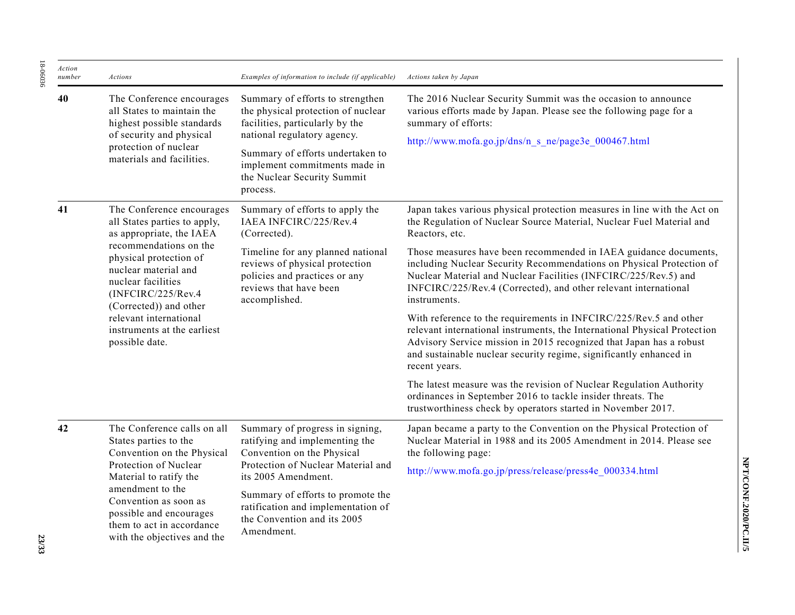| Action<br>number | Actions                                                                                                                                                                                                                                                                   | Examples of information to include (if applicable)                                                                                                                                                                                                       | Actions taken by Japan                                                                                                                                                                                                                                                                                       |
|------------------|---------------------------------------------------------------------------------------------------------------------------------------------------------------------------------------------------------------------------------------------------------------------------|----------------------------------------------------------------------------------------------------------------------------------------------------------------------------------------------------------------------------------------------------------|--------------------------------------------------------------------------------------------------------------------------------------------------------------------------------------------------------------------------------------------------------------------------------------------------------------|
| 40               | The Conference encourages<br>all States to maintain the<br>highest possible standards<br>of security and physical<br>protection of nuclear<br>materials and facilities.                                                                                                   | Summary of efforts to strengthen<br>the physical protection of nuclear<br>facilities, particularly by the<br>national regulatory agency.<br>Summary of efforts undertaken to<br>implement commitments made in<br>the Nuclear Security Summit<br>process. | The 2016 Nuclear Security Summit was the occasion to announce<br>various efforts made by Japan. Please see the following page for a<br>summary of efforts:<br>http://www.mofa.go.jp/dns/n s ne/page3e 000467.html                                                                                            |
| 41               | The Conference encourages<br>all States parties to apply,<br>as appropriate, the IAEA                                                                                                                                                                                     | Summary of efforts to apply the<br>IAEA INFCIRC/225/Rev.4<br>(Corrected).                                                                                                                                                                                | Japan takes various physical protection measures in line with the Act on<br>the Regulation of Nuclear Source Material, Nuclear Fuel Material and<br>Reactors, etc.                                                                                                                                           |
|                  | recommendations on the<br>physical protection of<br>nuclear material and<br>nuclear facilities<br>(INFCIRC/225/Rev.4<br>(Corrected)) and other<br>relevant international<br>instruments at the earliest<br>possible date.                                                 | Timeline for any planned national<br>reviews of physical protection<br>policies and practices or any<br>reviews that have been<br>accomplished.                                                                                                          | Those measures have been recommended in IAEA guidance documents,<br>including Nuclear Security Recommendations on Physical Protection of<br>Nuclear Material and Nuclear Facilities (INFCIRC/225/Rev.5) and<br>INFCIRC/225/Rev.4 (Corrected), and other relevant international<br>instruments.               |
|                  |                                                                                                                                                                                                                                                                           |                                                                                                                                                                                                                                                          | With reference to the requirements in INFCIRC/225/Rev.5 and other<br>relevant international instruments, the International Physical Protection<br>Advisory Service mission in 2015 recognized that Japan has a robust<br>and sustainable nuclear security regime, significantly enhanced in<br>recent years. |
|                  |                                                                                                                                                                                                                                                                           |                                                                                                                                                                                                                                                          | The latest measure was the revision of Nuclear Regulation Authority<br>ordinances in September 2016 to tackle insider threats. The<br>trustworthiness check by operators started in November 2017.                                                                                                           |
| 42               | The Conference calls on all<br>States parties to the<br>Convention on the Physical<br>Protection of Nuclear<br>Material to ratify the<br>amendment to the<br>Convention as soon as<br>possible and encourages<br>them to act in accordance<br>with the objectives and the | Summary of progress in signing,<br>ratifying and implementing the<br>Convention on the Physical<br>Protection of Nuclear Material and                                                                                                                    | Japan became a party to the Convention on the Physical Protection of<br>Nuclear Material in 1988 and its 2005 Amendment in 2014. Please see<br>the following page:                                                                                                                                           |
|                  |                                                                                                                                                                                                                                                                           | its 2005 Amendment.<br>Summary of efforts to promote the<br>ratification and implementation of<br>the Convention and its 2005<br>Amendment.                                                                                                              | http://www.mofa.go.jp/press/release/press4e 000334.html                                                                                                                                                                                                                                                      |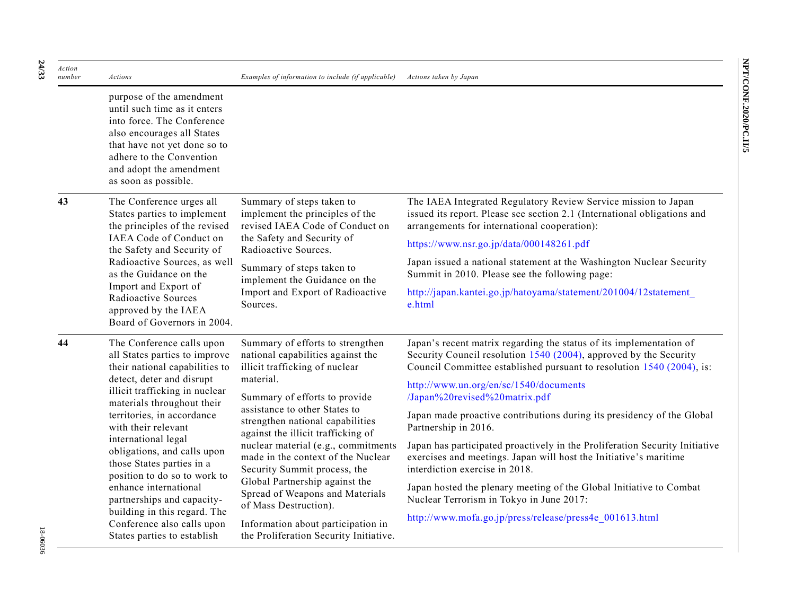| Action<br>number | Actions                                                                                                                                                                                                                             | Examples of information to include (if applicable)                                                                                                                                                                                                                 | Actions taken by Japan                                                                                                                                                                                            |
|------------------|-------------------------------------------------------------------------------------------------------------------------------------------------------------------------------------------------------------------------------------|--------------------------------------------------------------------------------------------------------------------------------------------------------------------------------------------------------------------------------------------------------------------|-------------------------------------------------------------------------------------------------------------------------------------------------------------------------------------------------------------------|
|                  | purpose of the amendment<br>until such time as it enters<br>into force. The Conference<br>also encourages all States<br>that have not yet done so to<br>adhere to the Convention<br>and adopt the amendment<br>as soon as possible. |                                                                                                                                                                                                                                                                    |                                                                                                                                                                                                                   |
| 43               | The Conference urges all<br>States parties to implement<br>the principles of the revised                                                                                                                                            | Summary of steps taken to<br>implement the principles of the<br>revised IAEA Code of Conduct on                                                                                                                                                                    | The IAEA Integrated Regulatory Review Service mission to Japan<br>issued its report. Please see section 2.1 (International obligations and<br>arrangements for international cooperation):                        |
|                  | IAEA Code of Conduct on<br>the Safety and Security of                                                                                                                                                                               | the Safety and Security of<br>Radioactive Sources.                                                                                                                                                                                                                 | https://www.nsr.go.jp/data/000148261.pdf                                                                                                                                                                          |
|                  | Radioactive Sources, as well<br>as the Guidance on the<br>Import and Export of<br>Radioactive Sources<br>approved by the IAEA<br>Board of Governors in 2004.                                                                        | Summary of steps taken to<br>implement the Guidance on the<br>Import and Export of Radioactive<br>Sources.                                                                                                                                                         | Japan issued a national statement at the Washington Nuclear Security<br>Summit in 2010. Please see the following page:                                                                                            |
|                  |                                                                                                                                                                                                                                     |                                                                                                                                                                                                                                                                    | http://japan.kantei.go.jp/hatoyama/statement/201004/12statement<br>e.html                                                                                                                                         |
| 44               | The Conference calls upon<br>all States parties to improve<br>their national capabilities to                                                                                                                                        | Summary of efforts to strengthen<br>national capabilities against the<br>illicit trafficking of nuclear                                                                                                                                                            | Japan's recent matrix regarding the status of its implementation of<br>Security Council resolution 1540 (2004), approved by the Security<br>Council Committee established pursuant to resolution 1540 (2004), is: |
|                  | detect, deter and disrupt<br>illicit trafficking in nuclear<br>materials throughout their<br>territories, in accordance<br>with their relevant                                                                                      | material.<br>Summary of efforts to provide<br>assistance to other States to<br>strengthen national capabilities<br>against the illicit trafficking of<br>nuclear material (e.g., commitments<br>made in the context of the Nuclear<br>Security Summit process, the | http://www.un.org/en/sc/1540/documents<br>/Japan%20revised%20matrix.pdf                                                                                                                                           |
|                  |                                                                                                                                                                                                                                     |                                                                                                                                                                                                                                                                    | Japan made proactive contributions during its presidency of the Global<br>Partnership in 2016.                                                                                                                    |
|                  | international legal<br>obligations, and calls upon<br>those States parties in a<br>position to do so to work to                                                                                                                     |                                                                                                                                                                                                                                                                    | Japan has participated proactively in the Proliferation Security Initiative<br>exercises and meetings. Japan will host the Initiative's maritime<br>interdiction exercise in 2018.                                |
|                  | enhance international<br>partnerships and capacity-                                                                                                                                                                                 | Global Partnership against the<br>Spread of Weapons and Materials<br>of Mass Destruction).                                                                                                                                                                         | Japan hosted the plenary meeting of the Global Initiative to Combat<br>Nuclear Terrorism in Tokyo in June 2017:                                                                                                   |
|                  | building in this regard. The<br>$\alpha$ $\beta$ $1$ $11$                                                                                                                                                                           | $\mathbf{T} \cdot \mathbf{C}$ and $\mathbf{C} \cdot \mathbf{C}$ and $\mathbf{C} \cdot \mathbf{C}$ and $\mathbf{C} \cdot \mathbf{C}$ and $\mathbf{C} \cdot \mathbf{C}$ and $\mathbf{C} \cdot \mathbf{C}$                                                            | http://www.mofa.go.jp/press/release/press4e 001613.html                                                                                                                                                           |

Information about participation in the Proliferation Security Initiative.

Conference also calls upon States parties to establish

**24**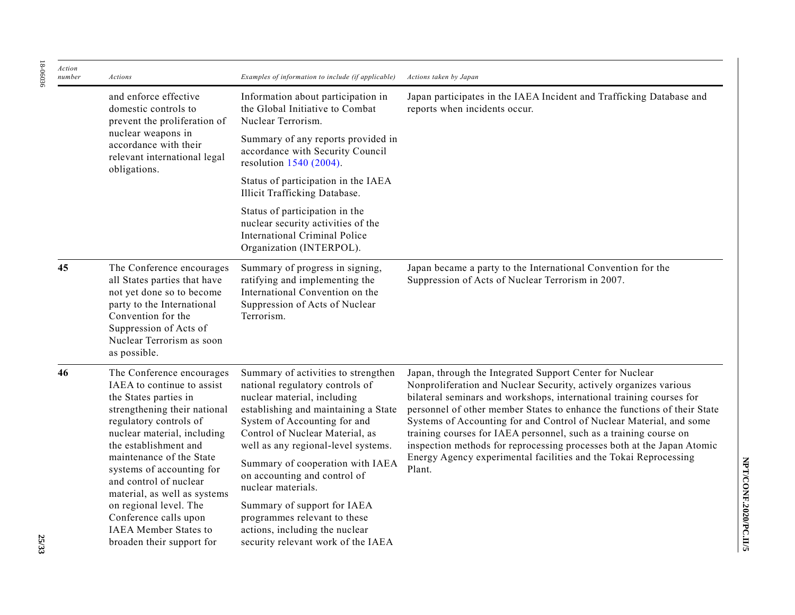| Action<br>number | Actions                                                                                                                                                                                                                                                                                                                                                                                                                               | Examples of information to include (if applicable)                                                                                                                                                                                                                                                                                                                                                                                                                                       | Actions taken by Japan                                                                                                                                                                                                                                                                                                                                                                                                                                                                                                                                                                |
|------------------|---------------------------------------------------------------------------------------------------------------------------------------------------------------------------------------------------------------------------------------------------------------------------------------------------------------------------------------------------------------------------------------------------------------------------------------|------------------------------------------------------------------------------------------------------------------------------------------------------------------------------------------------------------------------------------------------------------------------------------------------------------------------------------------------------------------------------------------------------------------------------------------------------------------------------------------|---------------------------------------------------------------------------------------------------------------------------------------------------------------------------------------------------------------------------------------------------------------------------------------------------------------------------------------------------------------------------------------------------------------------------------------------------------------------------------------------------------------------------------------------------------------------------------------|
|                  | and enforce effective<br>domestic controls to<br>prevent the proliferation of<br>nuclear weapons in<br>accordance with their<br>relevant international legal<br>obligations.                                                                                                                                                                                                                                                          | Information about participation in<br>the Global Initiative to Combat<br>Nuclear Terrorism.                                                                                                                                                                                                                                                                                                                                                                                              | Japan participates in the IAEA Incident and Trafficking Database and<br>reports when incidents occur.                                                                                                                                                                                                                                                                                                                                                                                                                                                                                 |
|                  |                                                                                                                                                                                                                                                                                                                                                                                                                                       | Summary of any reports provided in<br>accordance with Security Council<br>resolution 1540 (2004).                                                                                                                                                                                                                                                                                                                                                                                        |                                                                                                                                                                                                                                                                                                                                                                                                                                                                                                                                                                                       |
|                  |                                                                                                                                                                                                                                                                                                                                                                                                                                       | Status of participation in the IAEA<br>Illicit Trafficking Database.                                                                                                                                                                                                                                                                                                                                                                                                                     |                                                                                                                                                                                                                                                                                                                                                                                                                                                                                                                                                                                       |
|                  |                                                                                                                                                                                                                                                                                                                                                                                                                                       | Status of participation in the<br>nuclear security activities of the<br><b>International Criminal Police</b><br>Organization (INTERPOL).                                                                                                                                                                                                                                                                                                                                                 |                                                                                                                                                                                                                                                                                                                                                                                                                                                                                                                                                                                       |
| 45               | The Conference encourages<br>all States parties that have<br>not yet done so to become<br>party to the International<br>Convention for the<br>Suppression of Acts of<br>Nuclear Terrorism as soon<br>as possible.                                                                                                                                                                                                                     | Summary of progress in signing,<br>ratifying and implementing the<br>International Convention on the<br>Suppression of Acts of Nuclear<br>Terrorism.                                                                                                                                                                                                                                                                                                                                     | Japan became a party to the International Convention for the<br>Suppression of Acts of Nuclear Terrorism in 2007.                                                                                                                                                                                                                                                                                                                                                                                                                                                                     |
| 46               | The Conference encourages<br>IAEA to continue to assist<br>the States parties in<br>strengthening their national<br>regulatory controls of<br>nuclear material, including<br>the establishment and<br>maintenance of the State<br>systems of accounting for<br>and control of nuclear<br>material, as well as systems<br>on regional level. The<br>Conference calls upon<br><b>IAEA</b> Member States to<br>broaden their support for | Summary of activities to strengthen<br>national regulatory controls of<br>nuclear material, including<br>establishing and maintaining a State<br>System of Accounting for and<br>Control of Nuclear Material, as<br>well as any regional-level systems.<br>Summary of cooperation with IAEA<br>on accounting and control of<br>nuclear materials.<br>Summary of support for IAEA<br>programmes relevant to these<br>actions, including the nuclear<br>security relevant work of the IAEA | Japan, through the Integrated Support Center for Nuclear<br>Nonproliferation and Nuclear Security, actively organizes various<br>bilateral seminars and workshops, international training courses for<br>personnel of other member States to enhance the functions of their State<br>Systems of Accounting for and Control of Nuclear Material, and some<br>training courses for IAEA personnel, such as a training course on<br>inspection methods for reprocessing processes both at the Japan Atomic<br>Energy Agency experimental facilities and the Tokai Reprocessing<br>Plant. |

**NPT/CONF.2020/PC.II/5**

NPT/CONF.2020/PC.II/5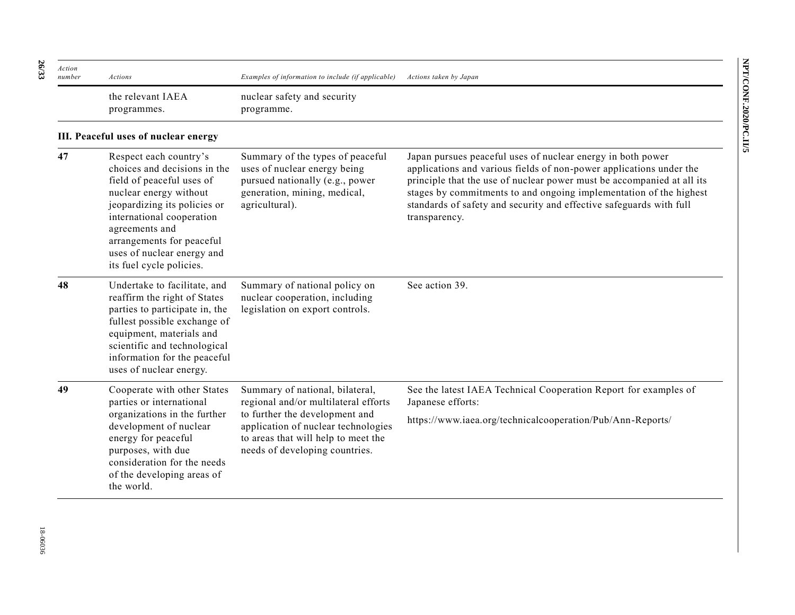| Action<br>number | Actions                                                                                                                                                                                                                                                                             | Examples of information to include (if applicable)                                                                                                                                                                        | Actions taken by Japan                                                                                                                                                                                                                                                                                                                                                     |
|------------------|-------------------------------------------------------------------------------------------------------------------------------------------------------------------------------------------------------------------------------------------------------------------------------------|---------------------------------------------------------------------------------------------------------------------------------------------------------------------------------------------------------------------------|----------------------------------------------------------------------------------------------------------------------------------------------------------------------------------------------------------------------------------------------------------------------------------------------------------------------------------------------------------------------------|
|                  | the relevant IAEA<br>programmes.                                                                                                                                                                                                                                                    | nuclear safety and security<br>programme.                                                                                                                                                                                 |                                                                                                                                                                                                                                                                                                                                                                            |
|                  | III. Peaceful uses of nuclear energy                                                                                                                                                                                                                                                |                                                                                                                                                                                                                           |                                                                                                                                                                                                                                                                                                                                                                            |
| 47               | Respect each country's<br>choices and decisions in the<br>field of peaceful uses of<br>nuclear energy without<br>jeopardizing its policies or<br>international cooperation<br>agreements and<br>arrangements for peaceful<br>uses of nuclear energy and<br>its fuel cycle policies. | Summary of the types of peaceful<br>uses of nuclear energy being<br>pursued nationally (e.g., power<br>generation, mining, medical,<br>agricultural).                                                                     | Japan pursues peaceful uses of nuclear energy in both power<br>applications and various fields of non-power applications under the<br>principle that the use of nuclear power must be accompanied at all its<br>stages by commitments to and ongoing implementation of the highest<br>standards of safety and security and effective safeguards with full<br>transparency. |
| 48               | Undertake to facilitate, and<br>reaffirm the right of States<br>parties to participate in, the<br>fullest possible exchange of<br>equipment, materials and<br>scientific and technological<br>information for the peaceful<br>uses of nuclear energy.                               | Summary of national policy on<br>nuclear cooperation, including<br>legislation on export controls.                                                                                                                        | See action 39.                                                                                                                                                                                                                                                                                                                                                             |
| 49               | Cooperate with other States<br>parties or international<br>organizations in the further<br>development of nuclear<br>energy for peaceful<br>purposes, with due<br>consideration for the needs<br>of the developing areas of<br>the world.                                           | Summary of national, bilateral,<br>regional and/or multilateral efforts<br>to further the development and<br>application of nuclear technologies<br>to areas that will help to meet the<br>needs of developing countries. | See the latest IAEA Technical Cooperation Report for examples of<br>Japanese efforts:<br>https://www.iaea.org/technicalcooperation/Pub/Ann-Reports/                                                                                                                                                                                                                        |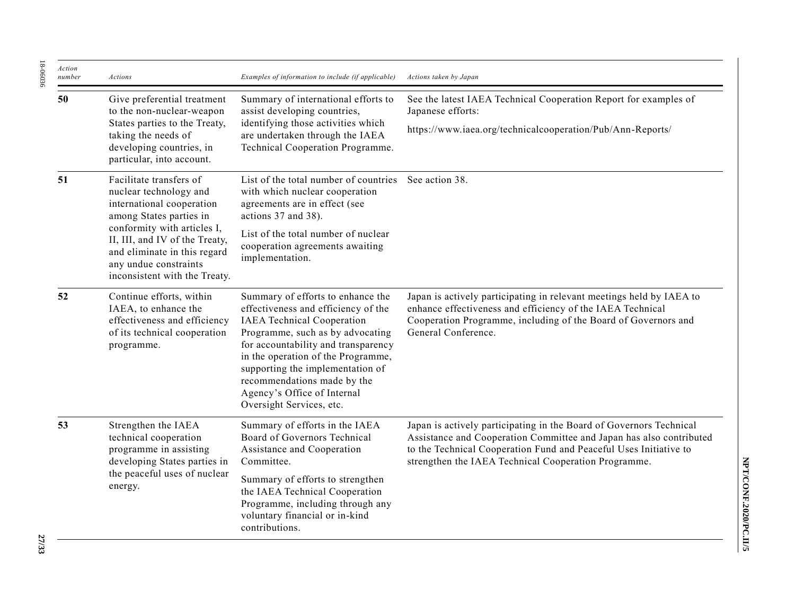| Action<br>number | Actions                                                                                                                                                                                                                                                              | Examples of information to include (if applicable)                                                                                                                                                                                                                                                                                                           | Actions taken by Japan                                                                                                                                                                                                                                                  |
|------------------|----------------------------------------------------------------------------------------------------------------------------------------------------------------------------------------------------------------------------------------------------------------------|--------------------------------------------------------------------------------------------------------------------------------------------------------------------------------------------------------------------------------------------------------------------------------------------------------------------------------------------------------------|-------------------------------------------------------------------------------------------------------------------------------------------------------------------------------------------------------------------------------------------------------------------------|
| 50               | Give preferential treatment<br>to the non-nuclear-weapon<br>States parties to the Treaty,<br>taking the needs of<br>developing countries, in<br>particular, into account.                                                                                            | Summary of international efforts to<br>assist developing countries,<br>identifying those activities which<br>are undertaken through the IAEA<br>Technical Cooperation Programme.                                                                                                                                                                             | See the latest IAEA Technical Cooperation Report for examples of<br>Japanese efforts:                                                                                                                                                                                   |
|                  |                                                                                                                                                                                                                                                                      |                                                                                                                                                                                                                                                                                                                                                              | https://www.iaea.org/technicalcooperation/Pub/Ann-Reports/                                                                                                                                                                                                              |
| 51               | Facilitate transfers of<br>nuclear technology and<br>international cooperation<br>among States parties in<br>conformity with articles I,<br>II, III, and IV of the Treaty,<br>and eliminate in this regard<br>any undue constraints<br>inconsistent with the Treaty. | List of the total number of countries<br>with which nuclear cooperation<br>agreements are in effect (see<br>actions 37 and 38).                                                                                                                                                                                                                              | See action 38.                                                                                                                                                                                                                                                          |
|                  |                                                                                                                                                                                                                                                                      | List of the total number of nuclear<br>cooperation agreements awaiting<br>implementation.                                                                                                                                                                                                                                                                    |                                                                                                                                                                                                                                                                         |
| 52               | Continue efforts, within<br>IAEA, to enhance the<br>effectiveness and efficiency<br>of its technical cooperation<br>programme.                                                                                                                                       | Summary of efforts to enhance the<br>effectiveness and efficiency of the<br><b>IAEA</b> Technical Cooperation<br>Programme, such as by advocating<br>for accountability and transparency<br>in the operation of the Programme,<br>supporting the implementation of<br>recommendations made by the<br>Agency's Office of Internal<br>Oversight Services, etc. | Japan is actively participating in relevant meetings held by IAEA to<br>enhance effectiveness and efficiency of the IAEA Technical<br>Cooperation Programme, including of the Board of Governors and<br>General Conference.                                             |
| 53               | Strengthen the IAEA<br>technical cooperation<br>programme in assisting<br>developing States parties in<br>the peaceful uses of nuclear<br>energy.                                                                                                                    | Summary of efforts in the IAEA<br>Board of Governors Technical<br>Assistance and Cooperation<br>Committee.                                                                                                                                                                                                                                                   | Japan is actively participating in the Board of Governors Technical<br>Assistance and Cooperation Committee and Japan has also contributed<br>to the Technical Cooperation Fund and Peaceful Uses Initiative to<br>strengthen the IAEA Technical Cooperation Programme. |
|                  |                                                                                                                                                                                                                                                                      | Summary of efforts to strengthen<br>the IAEA Technical Cooperation<br>Programme, including through any<br>voluntary financial or in-kind<br>contributions.                                                                                                                                                                                                   |                                                                                                                                                                                                                                                                         |

18-06036

18-06036

NPT/CONF.2020/PC.II/5 **NPT/CONF.2020/PC.II/5**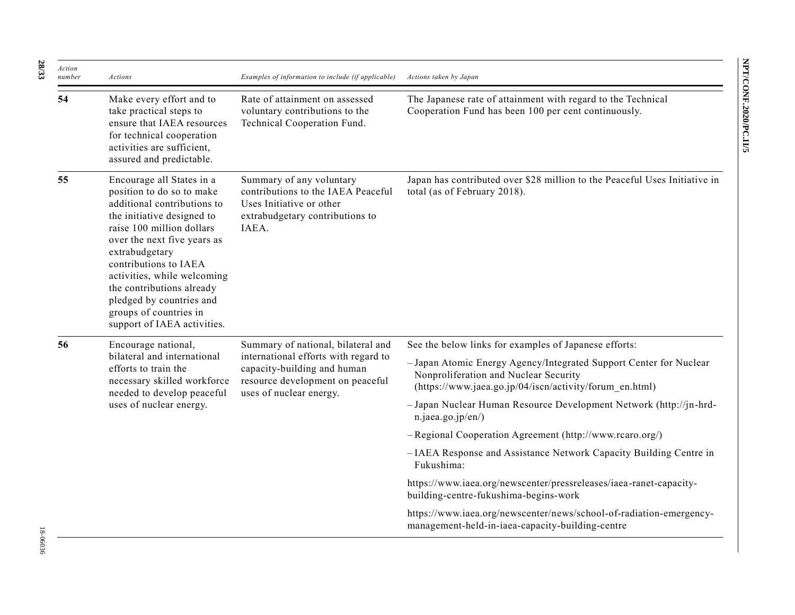| Action<br>number | <b>Actions</b>                                                                                                                                                                                                                                                                                                                                                              | Examples of information to include (if applicable)                                                                                                                       | Actions taken by Japan                                                                                                                                                 |
|------------------|-----------------------------------------------------------------------------------------------------------------------------------------------------------------------------------------------------------------------------------------------------------------------------------------------------------------------------------------------------------------------------|--------------------------------------------------------------------------------------------------------------------------------------------------------------------------|------------------------------------------------------------------------------------------------------------------------------------------------------------------------|
| 54               | Make every effort and to<br>take practical steps to<br>ensure that IAEA resources<br>for technical cooperation<br>activities are sufficient,<br>assured and predictable.                                                                                                                                                                                                    | Rate of attainment on assessed<br>voluntary contributions to the<br>Technical Cooperation Fund.                                                                          | The Japanese rate of attainment with regard to the Technical<br>Cooperation Fund has been 100 per cent continuously.                                                   |
| 55               | Encourage all States in a<br>position to do so to make<br>additional contributions to<br>the initiative designed to<br>raise 100 million dollars<br>over the next five years as<br>extrabudgetary<br>contributions to IAEA<br>activities, while welcoming<br>the contributions already<br>pledged by countries and<br>groups of countries in<br>support of IAEA activities. | Summary of any voluntary<br>contributions to the IAEA Peaceful<br>Uses Initiative or other<br>extrabudgetary contributions to<br>IAEA.                                   | Japan has contributed over \$28 million to the Peaceful Uses Initiative in<br>total (as of February 2018).                                                             |
| 56               | Encourage national,<br>bilateral and international<br>efforts to train the<br>necessary skilled workforce<br>needed to develop peaceful<br>uses of nuclear energy.                                                                                                                                                                                                          | Summary of national, bilateral and<br>international efforts with regard to<br>capacity-building and human<br>resource development on peaceful<br>uses of nuclear energy. | See the below links for examples of Japanese efforts:                                                                                                                  |
|                  |                                                                                                                                                                                                                                                                                                                                                                             |                                                                                                                                                                          | - Japan Atomic Energy Agency/Integrated Support Center for Nuclear<br>Nonproliferation and Nuclear Security<br>(https://www.jaea.go.jp/04/iscn/activity/forum en.html) |
|                  |                                                                                                                                                                                                                                                                                                                                                                             |                                                                                                                                                                          | - Japan Nuclear Human Resource Development Network (http://jn-hrd-<br>n.jaea.go.jp/en/)                                                                                |
|                  |                                                                                                                                                                                                                                                                                                                                                                             |                                                                                                                                                                          | - Regional Cooperation Agreement (http://www.rcaro.org/)                                                                                                               |
|                  |                                                                                                                                                                                                                                                                                                                                                                             |                                                                                                                                                                          | -IAEA Response and Assistance Network Capacity Building Centre in<br>Fukushima:                                                                                        |
|                  |                                                                                                                                                                                                                                                                                                                                                                             |                                                                                                                                                                          | https://www.iaea.org/newscenter/pressreleases/iaea-ranet-capacity-<br>building-centre-fukushima-begins-work                                                            |
|                  |                                                                                                                                                                                                                                                                                                                                                                             |                                                                                                                                                                          | https://www.iaea.org/newscenter/news/school-of-radiation-emergency-<br>management-held-in-iaea-capacity-building-centre                                                |

**28**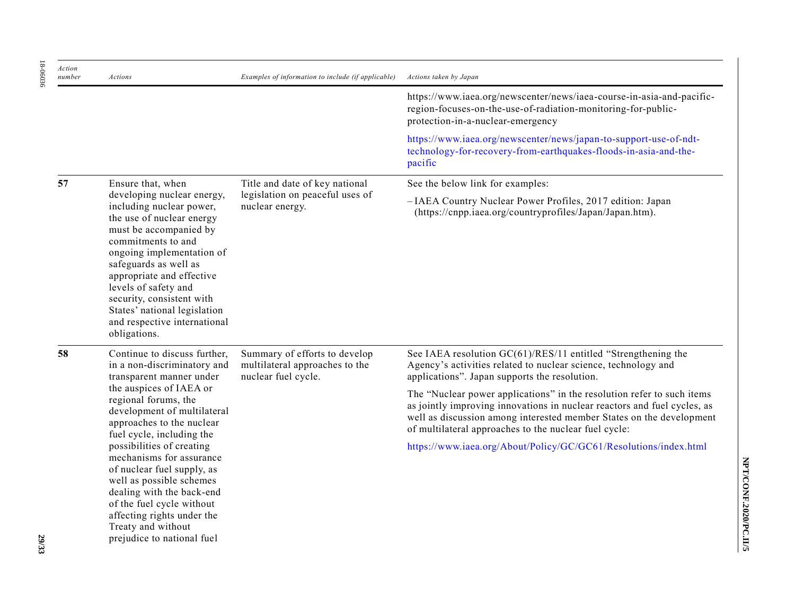| Action<br>number | Actions                                                                                                                                                                                                                                                                                                                                                     | Examples of information to include (if applicable)                                                                                               | Actions taken by Japan                                                                                                                                                                                                                                                              |
|------------------|-------------------------------------------------------------------------------------------------------------------------------------------------------------------------------------------------------------------------------------------------------------------------------------------------------------------------------------------------------------|--------------------------------------------------------------------------------------------------------------------------------------------------|-------------------------------------------------------------------------------------------------------------------------------------------------------------------------------------------------------------------------------------------------------------------------------------|
|                  |                                                                                                                                                                                                                                                                                                                                                             |                                                                                                                                                  | https://www.iaea.org/newscenter/news/iaea-course-in-asia-and-pacific-<br>region-focuses-on-the-use-of-radiation-monitoring-for-public-<br>protection-in-a-nuclear-emergency                                                                                                         |
|                  |                                                                                                                                                                                                                                                                                                                                                             | https://www.iaea.org/newscenter/news/japan-to-support-use-of-ndt-<br>technology-for-recovery-from-earthquakes-floods-in-asia-and-the-<br>pacific |                                                                                                                                                                                                                                                                                     |
| 57               | Ensure that, when                                                                                                                                                                                                                                                                                                                                           | Title and date of key national                                                                                                                   | See the below link for examples:                                                                                                                                                                                                                                                    |
|                  | developing nuclear energy,<br>including nuclear power,<br>the use of nuclear energy<br>must be accompanied by<br>commitments to and<br>ongoing implementation of<br>safeguards as well as<br>appropriate and effective<br>levels of safety and<br>security, consistent with<br>States' national legislation<br>and respective international<br>obligations. | legislation on peaceful uses of<br>nuclear energy.                                                                                               | -IAEA Country Nuclear Power Profiles, 2017 edition: Japan<br>(https://cnpp.iaea.org/countryprofiles/Japan/Japan.htm).                                                                                                                                                               |
| 58               | Continue to discuss further,<br>in a non-discriminatory and<br>transparent manner under<br>the auspices of IAEA or<br>regional forums, the<br>development of multilateral<br>approaches to the nuclear<br>fuel cycle, including the                                                                                                                         | Summary of efforts to develop<br>multilateral approaches to the<br>nuclear fuel cycle.                                                           | See IAEA resolution GC(61)/RES/11 entitled "Strengthening the<br>Agency's activities related to nuclear science, technology and<br>applications". Japan supports the resolution.                                                                                                    |
|                  |                                                                                                                                                                                                                                                                                                                                                             |                                                                                                                                                  | The "Nuclear power applications" in the resolution refer to such items<br>as jointly improving innovations in nuclear reactors and fuel cycles, as<br>well as discussion among interested member States on the development<br>of multilateral approaches to the nuclear fuel cycle: |
|                  | possibilities of creating<br>mechanisms for assurance<br>of nuclear fuel supply, as<br>well as possible schemes<br>dealing with the back-end<br>of the fuel cycle without<br>affecting rights under the<br>Treaty and without<br>prejudice to national fuel                                                                                                 |                                                                                                                                                  | https://www.iaea.org/About/Policy/GC/GC61/Resolutions/index.html                                                                                                                                                                                                                    |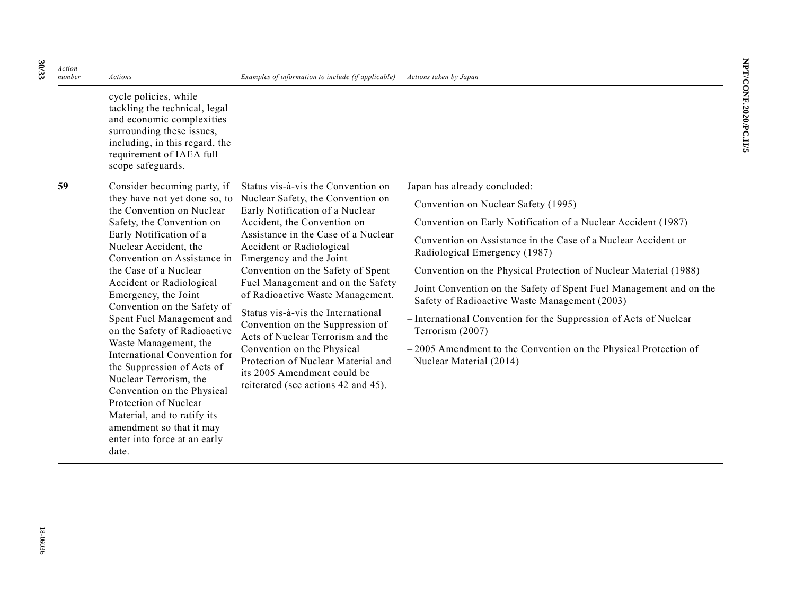| Action<br>number | <b>Actions</b>                                                                                                                                                                                                                                                                                                                                                                                                                                                                                                                                                                                                                                                 | Examples of information to include (if applicable)                                                                                                                                                                                                                                                                                                                                                                                                                   | Actions taken by Japan                                                                                                |
|------------------|----------------------------------------------------------------------------------------------------------------------------------------------------------------------------------------------------------------------------------------------------------------------------------------------------------------------------------------------------------------------------------------------------------------------------------------------------------------------------------------------------------------------------------------------------------------------------------------------------------------------------------------------------------------|----------------------------------------------------------------------------------------------------------------------------------------------------------------------------------------------------------------------------------------------------------------------------------------------------------------------------------------------------------------------------------------------------------------------------------------------------------------------|-----------------------------------------------------------------------------------------------------------------------|
|                  | cycle policies, while<br>tackling the technical, legal<br>and economic complexities<br>surrounding these issues,<br>including, in this regard, the<br>requirement of IAEA full<br>scope safeguards.                                                                                                                                                                                                                                                                                                                                                                                                                                                            |                                                                                                                                                                                                                                                                                                                                                                                                                                                                      |                                                                                                                       |
| 59               | Consider becoming party, if<br>they have not yet done so, to<br>the Convention on Nuclear<br>Safety, the Convention on<br>Early Notification of a<br>Nuclear Accident, the<br>Convention on Assistance in<br>the Case of a Nuclear<br>Accident or Radiological<br>Emergency, the Joint<br>Convention on the Safety of<br>Spent Fuel Management and<br>on the Safety of Radioactive<br>Waste Management, the<br>International Convention for<br>the Suppression of Acts of<br>Nuclear Terrorism, the<br>Convention on the Physical<br>Protection of Nuclear<br>Material, and to ratify its<br>amendment so that it may<br>enter into force at an early<br>date. | Status vis-à-vis the Convention on<br>Nuclear Safety, the Convention on<br>Early Notification of a Nuclear<br>Accident, the Convention on<br>Assistance in the Case of a Nuclear<br>Accident or Radiological<br>Emergency and the Joint<br>Convention on the Safety of Spent<br>Fuel Management and on the Safety<br>of Radioactive Waste Management.<br>Status vis-à-vis the International<br>Convention on the Suppression of<br>Acts of Nuclear Terrorism and the | Japan has already concluded:                                                                                          |
|                  |                                                                                                                                                                                                                                                                                                                                                                                                                                                                                                                                                                                                                                                                |                                                                                                                                                                                                                                                                                                                                                                                                                                                                      | - Convention on Nuclear Safety (1995)                                                                                 |
|                  |                                                                                                                                                                                                                                                                                                                                                                                                                                                                                                                                                                                                                                                                |                                                                                                                                                                                                                                                                                                                                                                                                                                                                      | - Convention on Early Notification of a Nuclear Accident (1987)                                                       |
|                  |                                                                                                                                                                                                                                                                                                                                                                                                                                                                                                                                                                                                                                                                |                                                                                                                                                                                                                                                                                                                                                                                                                                                                      | - Convention on Assistance in the Case of a Nuclear Accident or<br>Radiological Emergency (1987)                      |
|                  |                                                                                                                                                                                                                                                                                                                                                                                                                                                                                                                                                                                                                                                                |                                                                                                                                                                                                                                                                                                                                                                                                                                                                      | - Convention on the Physical Protection of Nuclear Material (1988)                                                    |
|                  |                                                                                                                                                                                                                                                                                                                                                                                                                                                                                                                                                                                                                                                                |                                                                                                                                                                                                                                                                                                                                                                                                                                                                      | - Joint Convention on the Safety of Spent Fuel Management and on the<br>Safety of Radioactive Waste Management (2003) |
|                  |                                                                                                                                                                                                                                                                                                                                                                                                                                                                                                                                                                                                                                                                |                                                                                                                                                                                                                                                                                                                                                                                                                                                                      | - International Convention for the Suppression of Acts of Nuclear<br>Terrorism (2007)                                 |
|                  |                                                                                                                                                                                                                                                                                                                                                                                                                                                                                                                                                                                                                                                                | Convention on the Physical<br>Protection of Nuclear Material and<br>its 2005 Amendment could be<br>reiterated (see actions 42 and 45).                                                                                                                                                                                                                                                                                                                               | $-2005$ Amendment to the Convention on the Physical Protection of<br>Nuclear Material (2014)                          |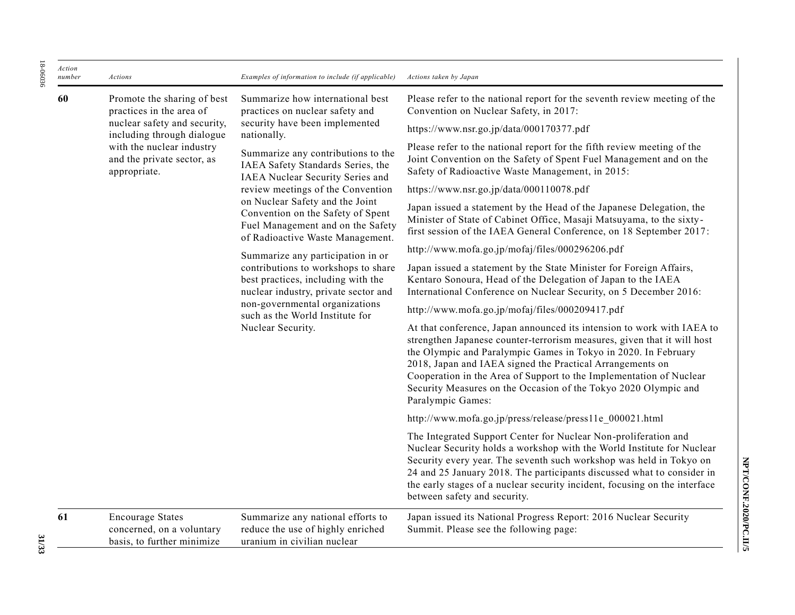| Action<br>number | Actions                                                                                                                                                                                          | Examples of information to include (if applicable)                                                                                                                                                                                               | Actions taken by Japan                                                                                                                                                                                                                                                                                                                                                                                                                          |
|------------------|--------------------------------------------------------------------------------------------------------------------------------------------------------------------------------------------------|--------------------------------------------------------------------------------------------------------------------------------------------------------------------------------------------------------------------------------------------------|-------------------------------------------------------------------------------------------------------------------------------------------------------------------------------------------------------------------------------------------------------------------------------------------------------------------------------------------------------------------------------------------------------------------------------------------------|
| 60               | Promote the sharing of best<br>practices in the area of<br>nuclear safety and security,<br>including through dialogue<br>with the nuclear industry<br>and the private sector, as<br>appropriate. | Summarize how international best<br>practices on nuclear safety and<br>security have been implemented<br>nationally.<br>Summarize any contributions to the<br>IAEA Safety Standards Series, the<br>IAEA Nuclear Security Series and              | Please refer to the national report for the seventh review meeting of the<br>Convention on Nuclear Safety, in 2017:                                                                                                                                                                                                                                                                                                                             |
|                  |                                                                                                                                                                                                  |                                                                                                                                                                                                                                                  | https://www.nsr.go.jp/data/000170377.pdf                                                                                                                                                                                                                                                                                                                                                                                                        |
|                  |                                                                                                                                                                                                  |                                                                                                                                                                                                                                                  | Please refer to the national report for the fifth review meeting of the<br>Joint Convention on the Safety of Spent Fuel Management and on the<br>Safety of Radioactive Waste Management, in 2015:                                                                                                                                                                                                                                               |
|                  |                                                                                                                                                                                                  | review meetings of the Convention                                                                                                                                                                                                                | https://www.nsr.go.jp/data/000110078.pdf                                                                                                                                                                                                                                                                                                                                                                                                        |
|                  |                                                                                                                                                                                                  | on Nuclear Safety and the Joint<br>Convention on the Safety of Spent<br>Fuel Management and on the Safety<br>of Radioactive Waste Management.                                                                                                    | Japan issued a statement by the Head of the Japanese Delegation, the<br>Minister of State of Cabinet Office, Masaji Matsuyama, to the sixty-<br>first session of the IAEA General Conference, on 18 September 2017:                                                                                                                                                                                                                             |
|                  |                                                                                                                                                                                                  | Summarize any participation in or<br>contributions to workshops to share<br>best practices, including with the<br>nuclear industry, private sector and<br>non-governmental organizations<br>such as the World Institute for<br>Nuclear Security. | http://www.mofa.go.jp/mofaj/files/000296206.pdf                                                                                                                                                                                                                                                                                                                                                                                                 |
|                  |                                                                                                                                                                                                  |                                                                                                                                                                                                                                                  | Japan issued a statement by the State Minister for Foreign Affairs,<br>Kentaro Sonoura, Head of the Delegation of Japan to the IAEA<br>International Conference on Nuclear Security, on 5 December 2016:                                                                                                                                                                                                                                        |
|                  |                                                                                                                                                                                                  |                                                                                                                                                                                                                                                  | http://www.mofa.go.jp/mofaj/files/000209417.pdf                                                                                                                                                                                                                                                                                                                                                                                                 |
|                  |                                                                                                                                                                                                  |                                                                                                                                                                                                                                                  | At that conference, Japan announced its intension to work with IAEA to<br>strengthen Japanese counter-terrorism measures, given that it will host<br>the Olympic and Paralympic Games in Tokyo in 2020. In February<br>2018, Japan and IAEA signed the Practical Arrangements on<br>Cooperation in the Area of Support to the Implementation of Nuclear<br>Security Measures on the Occasion of the Tokyo 2020 Olympic and<br>Paralympic Games: |
|                  |                                                                                                                                                                                                  |                                                                                                                                                                                                                                                  | http://www.mofa.go.jp/press/release/press11e_000021.html                                                                                                                                                                                                                                                                                                                                                                                        |
|                  |                                                                                                                                                                                                  |                                                                                                                                                                                                                                                  | The Integrated Support Center for Nuclear Non-proliferation and<br>Nuclear Security holds a workshop with the World Institute for Nuclear<br>Security every year. The seventh such workshop was held in Tokyo on<br>24 and 25 January 2018. The participants discussed what to consider in<br>the early stages of a nuclear security incident, focusing on the interface<br>between safety and security.                                        |
| 61               | <b>Encourage States</b><br>concerned, on a voluntary<br>basis, to further minimize                                                                                                               | Summarize any national efforts to<br>reduce the use of highly enriched<br>uranium in civilian nuclear                                                                                                                                            | Japan issued its National Progress Report: 2016 Nuclear Security<br>Summit. Please see the following page:                                                                                                                                                                                                                                                                                                                                      |

**NPT/CONF.2020/PC.II/5**

NPT/CONF.2020/PC.II/5

**31/33**

18-06036

18-06036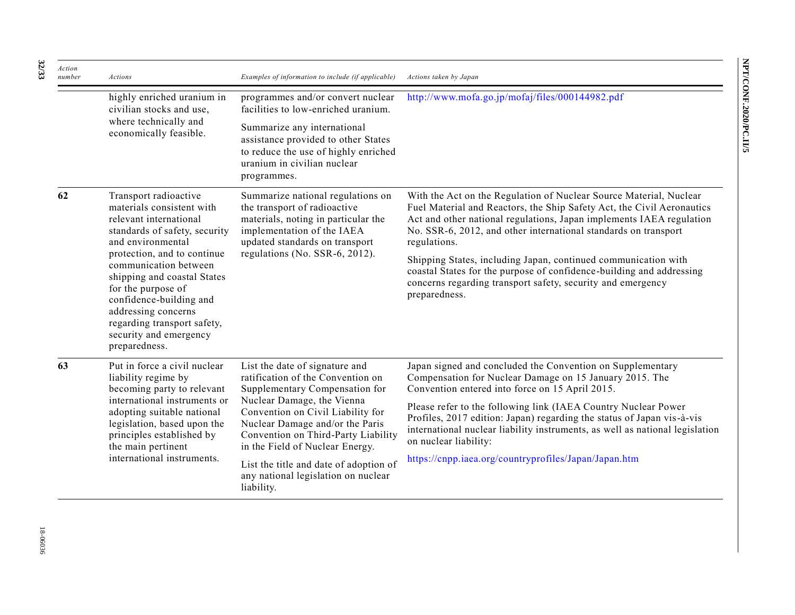| Action<br>number | Actions                                                                                                                                                                                                                                                                                                                                                                     | Examples of information to include (if applicable)                                                                                                                                                                                                                                    | Actions taken by Japan                                                                                                                                                                                                                                                                                                                                                                                                                                                                                                            |
|------------------|-----------------------------------------------------------------------------------------------------------------------------------------------------------------------------------------------------------------------------------------------------------------------------------------------------------------------------------------------------------------------------|---------------------------------------------------------------------------------------------------------------------------------------------------------------------------------------------------------------------------------------------------------------------------------------|-----------------------------------------------------------------------------------------------------------------------------------------------------------------------------------------------------------------------------------------------------------------------------------------------------------------------------------------------------------------------------------------------------------------------------------------------------------------------------------------------------------------------------------|
|                  | highly enriched uranium in<br>civilian stocks and use,<br>where technically and<br>economically feasible.                                                                                                                                                                                                                                                                   | programmes and/or convert nuclear<br>facilities to low-enriched uranium.                                                                                                                                                                                                              | http://www.mofa.go.jp/mofaj/files/000144982.pdf                                                                                                                                                                                                                                                                                                                                                                                                                                                                                   |
|                  |                                                                                                                                                                                                                                                                                                                                                                             | Summarize any international<br>assistance provided to other States<br>to reduce the use of highly enriched<br>uranium in civilian nuclear<br>programmes.                                                                                                                              |                                                                                                                                                                                                                                                                                                                                                                                                                                                                                                                                   |
| 62               | Transport radioactive<br>materials consistent with<br>relevant international<br>standards of safety, security<br>and environmental<br>protection, and to continue<br>communication between<br>shipping and coastal States<br>for the purpose of<br>confidence-building and<br>addressing concerns<br>regarding transport safety,<br>security and emergency<br>preparedness. | Summarize national regulations on<br>the transport of radioactive<br>materials, noting in particular the<br>implementation of the IAEA<br>updated standards on transport<br>regulations (No. SSR-6, 2012).                                                                            | With the Act on the Regulation of Nuclear Source Material, Nuclear<br>Fuel Material and Reactors, the Ship Safety Act, the Civil Aeronautics<br>Act and other national regulations, Japan implements IAEA regulation<br>No. SSR-6, 2012, and other international standards on transport<br>regulations.<br>Shipping States, including Japan, continued communication with<br>coastal States for the purpose of confidence-building and addressing<br>concerns regarding transport safety, security and emergency<br>preparedness. |
| 63               | Put in force a civil nuclear<br>liability regime by<br>becoming party to relevant<br>international instruments or<br>adopting suitable national<br>legislation, based upon the<br>principles established by<br>the main pertinent<br>international instruments.                                                                                                             | List the date of signature and<br>ratification of the Convention on<br>Supplementary Compensation for<br>Nuclear Damage, the Vienna<br>Convention on Civil Liability for<br>Nuclear Damage and/or the Paris<br>Convention on Third-Party Liability<br>in the Field of Nuclear Energy. | Japan signed and concluded the Convention on Supplementary<br>Compensation for Nuclear Damage on 15 January 2015. The<br>Convention entered into force on 15 April 2015.<br>Please refer to the following link (IAEA Country Nuclear Power<br>Profiles, 2017 edition: Japan) regarding the status of Japan vis-à-vis<br>international nuclear liability instruments, as well as national legislation<br>on nuclear liability:                                                                                                     |
|                  |                                                                                                                                                                                                                                                                                                                                                                             | List the title and date of adoption of<br>any national legislation on nuclear<br>liability.                                                                                                                                                                                           | https://cnpp.iaea.org/countryprofiles/Japan/Japan.htm                                                                                                                                                                                                                                                                                                                                                                                                                                                                             |